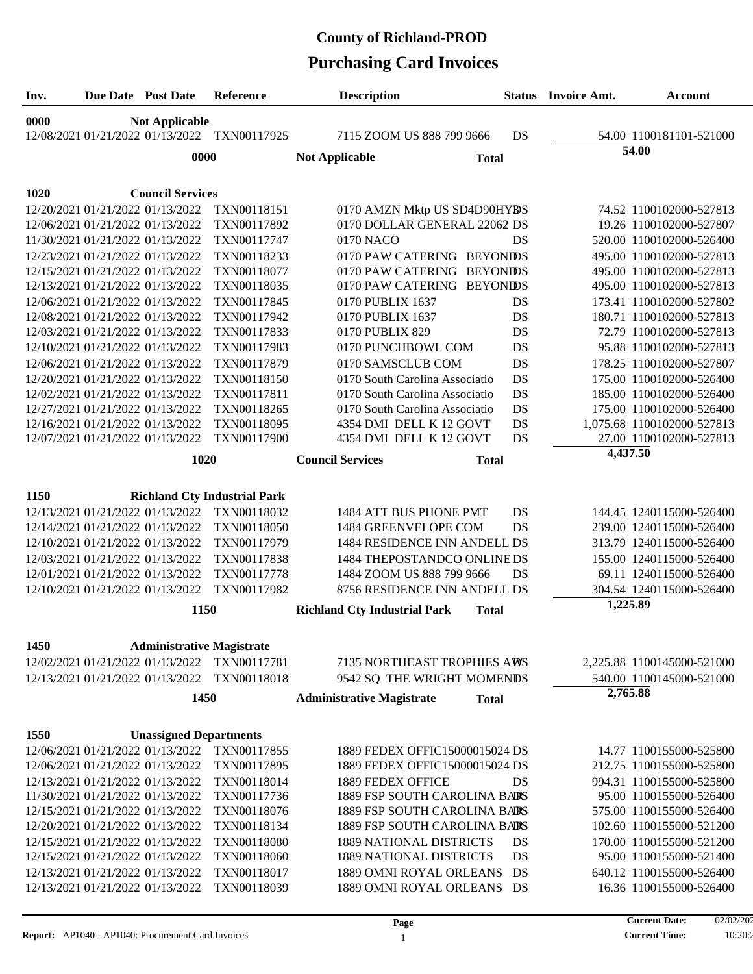# **Purchasing Card Invoices County of Richland-PROD**

| Inv. | <b>Due Date Post Date</b>        | Reference                                    | <b>Description</b>                  |              | Status    | <b>Invoice Amt.</b> | <b>Account</b>             |
|------|----------------------------------|----------------------------------------------|-------------------------------------|--------------|-----------|---------------------|----------------------------|
| 0000 | <b>Not Applicable</b>            |                                              |                                     |              |           |                     |                            |
|      |                                  | 12/08/2021 01/21/2022 01/13/2022 TXN00117925 | 7115 ZOOM US 888 799 9666           |              | DS        |                     | 54.00 1100181101-521000    |
|      | 0000                             |                                              | <b>Not Applicable</b>               | <b>Total</b> |           |                     | 54.00                      |
|      |                                  |                                              |                                     |              |           |                     |                            |
| 1020 | <b>Council Services</b>          |                                              |                                     |              |           |                     |                            |
|      | 12/20/2021 01/21/2022 01/13/2022 | TXN00118151                                  | 0170 AMZN Mktp US SD4D90HYBS        |              |           |                     | 74.52 1100102000-527813    |
|      | 12/06/2021 01/21/2022 01/13/2022 | TXN00117892                                  | 0170 DOLLAR GENERAL 22062 DS        |              |           |                     | 19.26 1100102000-527807    |
|      | 11/30/2021 01/21/2022 01/13/2022 | TXN00117747                                  | 0170 NACO                           |              | <b>DS</b> |                     | 520.00 1100102000-526400   |
|      | 12/23/2021 01/21/2022 01/13/2022 | TXN00118233                                  | 0170 PAW CATERING BEYONIDS          |              |           |                     | 495.00 1100102000-527813   |
|      | 12/15/2021 01/21/2022 01/13/2022 | TXN00118077                                  | 0170 PAW CATERING BEYONIDS          |              |           |                     | 495.00 1100102000-527813   |
|      | 12/13/2021 01/21/2022 01/13/2022 | TXN00118035                                  | 0170 PAW CATERING BEYONIDS          |              |           |                     | 495.00 1100102000-527813   |
|      | 12/06/2021 01/21/2022 01/13/2022 | TXN00117845                                  | 0170 PUBLIX 1637                    |              | DS        |                     | 173.41 1100102000-527802   |
|      | 12/08/2021 01/21/2022 01/13/2022 | TXN00117942                                  | 0170 PUBLIX 1637                    |              | DS        |                     | 180.71 1100102000-527813   |
|      | 12/03/2021 01/21/2022 01/13/2022 | TXN00117833                                  | 0170 PUBLIX 829                     |              | DS        |                     | 72.79 1100102000-527813    |
|      | 12/10/2021 01/21/2022 01/13/2022 | TXN00117983                                  | 0170 PUNCHBOWL COM                  |              | DS        |                     | 95.88 1100102000-527813    |
|      | 12/06/2021 01/21/2022 01/13/2022 | TXN00117879                                  | 0170 SAMSCLUB COM                   |              | DS        |                     | 178.25 1100102000-527807   |
|      | 12/20/2021 01/21/2022 01/13/2022 | TXN00118150                                  | 0170 South Carolina Associatio      |              | DS        |                     | 175.00 1100102000-526400   |
|      | 12/02/2021 01/21/2022 01/13/2022 | TXN00117811                                  | 0170 South Carolina Associatio      |              | DS        |                     | 185.00 1100102000-526400   |
|      | 12/27/2021 01/21/2022 01/13/2022 | TXN00118265                                  | 0170 South Carolina Associatio      |              | DS        |                     | 175.00 1100102000-526400   |
|      | 12/16/2021 01/21/2022 01/13/2022 | TXN00118095                                  | 4354 DMI DELL K 12 GOVT             |              | DS        |                     | 1,075.68 1100102000-527813 |
|      | 12/07/2021 01/21/2022 01/13/2022 | TXN00117900                                  | 4354 DMI DELL K 12 GOVT             |              | DS        |                     | 27.00 1100102000-527813    |
|      | 1020                             |                                              | <b>Council Services</b>             | <b>Total</b> |           | 4,437.50            |                            |
|      |                                  |                                              |                                     |              |           |                     |                            |
| 1150 |                                  | <b>Richland Cty Industrial Park</b>          |                                     |              |           |                     |                            |
|      | 12/13/2021 01/21/2022 01/13/2022 | TXN00118032                                  | 1484 ATT BUS PHONE PMT              |              | DS        |                     | 144.45 1240115000-526400   |
|      | 12/14/2021 01/21/2022 01/13/2022 | TXN00118050                                  | 1484 GREENVELOPE COM                |              | DS        |                     | 239.00 1240115000-526400   |
|      | 12/10/2021 01/21/2022 01/13/2022 | TXN00117979                                  | 1484 RESIDENCE INN ANDELL DS        |              |           |                     | 313.79 1240115000-526400   |
|      | 12/03/2021 01/21/2022 01/13/2022 | TXN00117838                                  | 1484 THEPOSTANDCO ONLINEDS          |              |           |                     | 155.00 1240115000-526400   |
|      | 12/01/2021 01/21/2022 01/13/2022 | TXN00117778                                  | 1484 ZOOM US 888 799 9666           |              | <b>DS</b> |                     | 69.11 1240115000-526400    |
|      | 12/10/2021 01/21/2022 01/13/2022 | TXN00117982                                  | 8756 RESIDENCE INN ANDELL DS        |              |           |                     | 304.54 1240115000-526400   |
|      | 1150                             |                                              | <b>Richland Cty Industrial Park</b> | <b>Total</b> |           | 1,225.89            |                            |
|      |                                  |                                              |                                     |              |           |                     |                            |
| 1450 | <b>Administrative Magistrate</b> |                                              |                                     |              |           |                     |                            |
|      | 12/02/2021 01/21/2022 01/13/2022 | TXN00117781                                  | 7135 NORTHEAST TROPHIES AWS         |              |           |                     | 2,225.88 1100145000-521000 |
|      | 12/13/2021 01/21/2022 01/13/2022 | TXN00118018                                  | 9542 SQ THE WRIGHT MOMENIDS         |              |           |                     | 540.00 1100145000-521000   |
|      | 1450                             |                                              | <b>Administrative Magistrate</b>    | <b>Total</b> |           | 2,765.88            |                            |
|      |                                  |                                              |                                     |              |           |                     |                            |
| 1550 | <b>Unassigned Departments</b>    |                                              |                                     |              |           |                     |                            |
|      | 12/06/2021 01/21/2022 01/13/2022 | TXN00117855                                  | 1889 FEDEX OFFIC15000015024 DS      |              |           |                     | 14.77 1100155000-525800    |
|      | 12/06/2021 01/21/2022 01/13/2022 | TXN00117895                                  | 1889 FEDEX OFFIC15000015024 DS      |              |           |                     | 212.75 1100155000-525800   |
|      | 12/13/2021 01/21/2022 01/13/2022 | TXN00118014                                  | 1889 FEDEX OFFICE                   |              | DS        |                     | 994.31 1100155000-525800   |
|      | 11/30/2021 01/21/2022 01/13/2022 | TXN00117736                                  | <b>1889 FSP SOUTH CAROLINA BARS</b> |              |           |                     | 95.00 1100155000-526400    |
|      | 12/15/2021 01/21/2022 01/13/2022 | TXN00118076                                  | 1889 FSP SOUTH CAROLINA BAIRS       |              |           |                     | 575.00 1100155000-526400   |
|      | 12/20/2021 01/21/2022 01/13/2022 | TXN00118134                                  | 1889 FSP SOUTH CAROLINA BAIRS       |              |           |                     | 102.60 1100155000-521200   |
|      | 12/15/2021 01/21/2022 01/13/2022 | TXN00118080                                  | <b>1889 NATIONAL DISTRICTS</b>      |              | DS        |                     | 170.00 1100155000-521200   |
|      | 12/15/2021 01/21/2022 01/13/2022 | TXN00118060                                  | <b>1889 NATIONAL DISTRICTS</b>      |              | DS        |                     | 95.00 1100155000-521400    |
|      | 12/13/2021 01/21/2022 01/13/2022 | TXN00118017                                  | 1889 OMNI ROYAL ORLEANS             |              | DS        |                     | 640.12 1100155000-526400   |
|      | 12/13/2021 01/21/2022 01/13/2022 | TXN00118039                                  | 1889 OMNI ROYAL ORLEANS DS          |              |           |                     | 16.36 1100155000-526400    |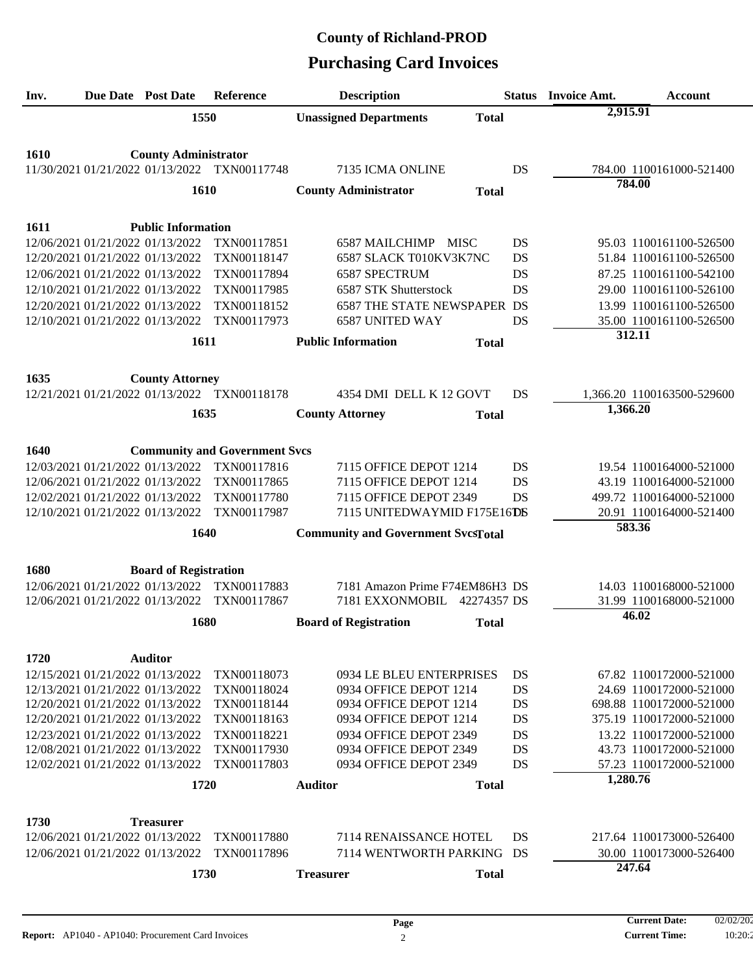# **Purchasing Card Invoices County of Richland-PROD**

| Inv. |                                  | <b>Due Date Post Date</b>        | Reference                                    |                  | <b>Description</b>                        |              |    | <b>Status</b> Invoice Amt. | <b>Account</b>             |
|------|----------------------------------|----------------------------------|----------------------------------------------|------------------|-------------------------------------------|--------------|----|----------------------------|----------------------------|
|      |                                  | 1550                             |                                              |                  | <b>Unassigned Departments</b>             | <b>Total</b> |    | 2,915.91                   |                            |
|      |                                  |                                  |                                              |                  |                                           |              |    |                            |                            |
| 1610 |                                  | <b>County Administrator</b>      |                                              |                  |                                           |              |    |                            |                            |
|      |                                  |                                  | 11/30/2021 01/21/2022 01/13/2022 TXN00117748 |                  | 7135 ICMA ONLINE                          |              | DS |                            | 784.00 1100161000-521400   |
|      |                                  | 1610                             |                                              |                  | <b>County Administrator</b>               | <b>Total</b> |    | 784.00                     |                            |
|      |                                  |                                  |                                              |                  |                                           |              |    |                            |                            |
| 1611 |                                  | <b>Public Information</b>        |                                              |                  |                                           |              |    |                            |                            |
|      | 12/06/2021 01/21/2022 01/13/2022 |                                  | TXN00117851                                  |                  | 6587 MAILCHIMP MISC                       |              | DS |                            | 95.03 1100161100-526500    |
|      | 12/20/2021 01/21/2022 01/13/2022 |                                  | TXN00118147                                  |                  | 6587 SLACK T010KV3K7NC                    |              | DS |                            | 51.84 1100161100-526500    |
|      | 12/06/2021 01/21/2022 01/13/2022 |                                  | TXN00117894                                  |                  | 6587 SPECTRUM                             |              | DS |                            | 87.25 1100161100-542100    |
|      | 12/10/2021 01/21/2022 01/13/2022 |                                  | TXN00117985                                  |                  | 6587 STK Shutterstock                     |              | DS |                            | 29.00 1100161100-526100    |
|      | 12/20/2021 01/21/2022 01/13/2022 |                                  | TXN00118152                                  |                  | <b>6587 THE STATE NEWSPAPER DS</b>        |              |    |                            | 13.99 1100161100-526500    |
|      |                                  | 12/10/2021 01/21/2022 01/13/2022 | TXN00117973                                  |                  | 6587 UNITED WAY                           |              | DS |                            | 35.00 1100161100-526500    |
|      |                                  | 1611                             |                                              |                  | <b>Public Information</b>                 | <b>Total</b> |    | 312.11                     |                            |
|      |                                  |                                  |                                              |                  |                                           |              |    |                            |                            |
| 1635 |                                  | <b>County Attorney</b>           |                                              |                  |                                           |              |    |                            |                            |
|      |                                  |                                  | 12/21/2021 01/21/2022 01/13/2022 TXN00118178 |                  | 4354 DMI DELL K 12 GOVT                   |              | DS |                            | 1,366.20 1100163500-529600 |
|      |                                  | 1635                             |                                              |                  | <b>County Attorney</b>                    | <b>Total</b> |    | 1,366.20                   |                            |
|      |                                  |                                  |                                              |                  |                                           |              |    |                            |                            |
| 1640 |                                  |                                  | <b>Community and Government Svcs</b>         |                  |                                           |              |    |                            |                            |
|      |                                  | 12/03/2021 01/21/2022 01/13/2022 | TXN00117816                                  |                  | 7115 OFFICE DEPOT 1214                    |              | DS |                            | 19.54 1100164000-521000    |
|      |                                  | 12/06/2021 01/21/2022 01/13/2022 | TXN00117865                                  |                  | 7115 OFFICE DEPOT 1214                    |              | DS |                            | 43.19 1100164000-521000    |
|      | 12/02/2021 01/21/2022 01/13/2022 |                                  | TXN00117780                                  |                  | 7115 OFFICE DEPOT 2349                    |              | DS |                            | 499.72 1100164000-521000   |
|      |                                  | 12/10/2021 01/21/2022 01/13/2022 | TXN00117987                                  |                  | 7115 UNITEDWAYMID F175E16DS               |              |    |                            | 20.91 1100164000-521400    |
|      |                                  | 1640                             |                                              |                  | <b>Community and Government SvcsTotal</b> |              |    | 583.36                     |                            |
|      |                                  |                                  |                                              |                  |                                           |              |    |                            |                            |
| 1680 |                                  | <b>Board of Registration</b>     |                                              |                  |                                           |              |    |                            |                            |
|      |                                  | 12/06/2021 01/21/2022 01/13/2022 | TXN00117883                                  |                  | 7181 Amazon Prime F74EM86H3 DS            |              |    |                            | 14.03 1100168000-521000    |
|      |                                  | 12/06/2021 01/21/2022 01/13/2022 | TXN00117867                                  |                  | 7181 EXXONMOBIL 42274357 DS               |              |    |                            | 31.99 1100168000-521000    |
|      |                                  | 1680                             |                                              |                  | <b>Board of Registration</b>              | <b>Total</b> |    | 46.02                      |                            |
|      |                                  |                                  |                                              |                  |                                           |              |    |                            |                            |
| 1720 |                                  | <b>Auditor</b>                   |                                              |                  |                                           |              |    |                            |                            |
|      | 12/15/2021 01/21/2022 01/13/2022 |                                  | TXN00118073                                  |                  | 0934 LE BLEU ENTERPRISES                  |              | DS |                            | 67.82 1100172000-521000    |
|      | 12/13/2021 01/21/2022 01/13/2022 |                                  | TXN00118024                                  |                  | 0934 OFFICE DEPOT 1214                    |              | DS |                            | 24.69 1100172000-521000    |
|      | 12/20/2021 01/21/2022 01/13/2022 |                                  | TXN00118144                                  |                  | 0934 OFFICE DEPOT 1214                    |              | DS |                            | 698.88 1100172000-521000   |
|      | 12/20/2021 01/21/2022 01/13/2022 |                                  | TXN00118163                                  |                  | 0934 OFFICE DEPOT 1214                    |              | DS |                            | 375.19 1100172000-521000   |
|      | 12/23/2021 01/21/2022 01/13/2022 |                                  | TXN00118221                                  |                  | 0934 OFFICE DEPOT 2349                    |              | DS |                            | 13.22 1100172000-521000    |
|      | 12/08/2021 01/21/2022 01/13/2022 |                                  | TXN00117930                                  |                  | 0934 OFFICE DEPOT 2349                    |              | DS |                            | 43.73 1100172000-521000    |
|      |                                  | 12/02/2021 01/21/2022 01/13/2022 | TXN00117803                                  |                  | 0934 OFFICE DEPOT 2349                    |              | DS |                            | 57.23 1100172000-521000    |
|      |                                  | 1720                             |                                              | <b>Auditor</b>   |                                           | <b>Total</b> |    | 1,280.76                   |                            |
|      |                                  |                                  |                                              |                  |                                           |              |    |                            |                            |
| 1730 |                                  | <b>Treasurer</b>                 |                                              |                  |                                           |              |    |                            |                            |
|      | 12/06/2021 01/21/2022 01/13/2022 |                                  | TXN00117880                                  |                  | 7114 RENAISSANCE HOTEL                    |              | DS |                            | 217.64 1100173000-526400   |
|      |                                  | 12/06/2021 01/21/2022 01/13/2022 | TXN00117896                                  |                  | 7114 WENTWORTH PARKING DS                 |              |    |                            | 30.00 1100173000-526400    |
|      |                                  | 1730                             |                                              | <b>Treasurer</b> |                                           | <b>Total</b> |    | 247.64                     |                            |
|      |                                  |                                  |                                              |                  |                                           |              |    |                            |                            |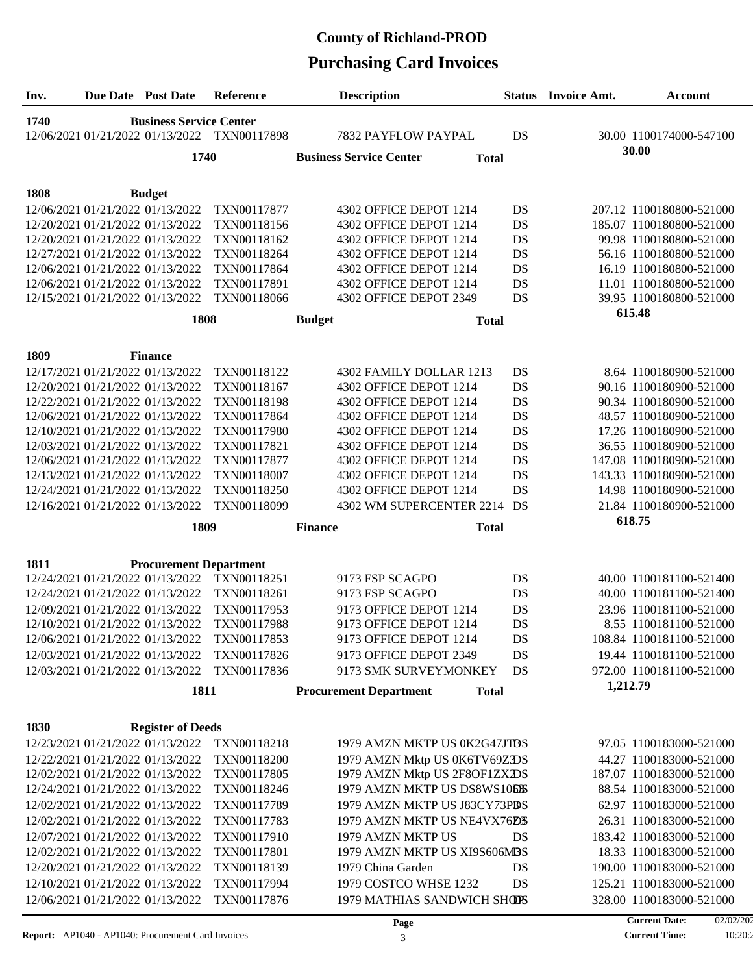# **Purchasing Card Invoices County of Richland-PROD**

| Inv.                                   |  | <b>Due Date</b> Post Date                                            | Reference                                    | <b>Description</b>                               |              | <b>Status</b> Invoice Amt. | <b>Account</b>                                     |  |
|----------------------------------------|--|----------------------------------------------------------------------|----------------------------------------------|--------------------------------------------------|--------------|----------------------------|----------------------------------------------------|--|
| <b>Business Service Center</b><br>1740 |  |                                                                      |                                              |                                                  |              |                            |                                                    |  |
|                                        |  |                                                                      | 12/06/2021 01/21/2022 01/13/2022 TXN00117898 | 7832 PAYFLOW PAYPAL                              | DS           |                            | 30.00 1100174000-547100                            |  |
|                                        |  | 1740                                                                 |                                              | <b>Business Service Center</b>                   | <b>Total</b> |                            | 30.00                                              |  |
|                                        |  |                                                                      |                                              |                                                  |              |                            |                                                    |  |
| 1808                                   |  | <b>Budget</b>                                                        |                                              |                                                  |              |                            |                                                    |  |
|                                        |  | 12/06/2021 01/21/2022 01/13/2022                                     | TXN00117877                                  | 4302 OFFICE DEPOT 1214                           | DS           |                            | 207.12 1100180800-521000                           |  |
|                                        |  | 12/20/2021 01/21/2022 01/13/2022                                     | TXN00118156                                  | 4302 OFFICE DEPOT 1214                           | DS           |                            | 185.07 1100180800-521000                           |  |
|                                        |  | 12/20/2021 01/21/2022 01/13/2022                                     | TXN00118162                                  | 4302 OFFICE DEPOT 1214                           | DS           |                            | 99.98 1100180800-521000                            |  |
|                                        |  | 12/27/2021 01/21/2022 01/13/2022                                     | TXN00118264                                  | 4302 OFFICE DEPOT 1214                           | DS           |                            | 56.16 1100180800-521000                            |  |
|                                        |  | 12/06/2021 01/21/2022 01/13/2022<br>12/06/2021 01/21/2022 01/13/2022 | TXN00117864<br>TXN00117891                   | 4302 OFFICE DEPOT 1214<br>4302 OFFICE DEPOT 1214 | DS<br>DS     |                            | 16.19 1100180800-521000<br>11.01 1100180800-521000 |  |
|                                        |  | 12/15/2021 01/21/2022 01/13/2022                                     | TXN00118066                                  | 4302 OFFICE DEPOT 2349                           | DS           |                            | 39.95 1100180800-521000                            |  |
|                                        |  | 1808                                                                 |                                              | <b>Budget</b>                                    |              |                            | 615.48                                             |  |
|                                        |  |                                                                      |                                              |                                                  | <b>Total</b> |                            |                                                    |  |
| 1809                                   |  | <b>Finance</b>                                                       |                                              |                                                  |              |                            |                                                    |  |
|                                        |  | 12/17/2021 01/21/2022 01/13/2022                                     | TXN00118122                                  | 4302 FAMILY DOLLAR 1213                          | DS           |                            | 8.64 1100180900-521000                             |  |
|                                        |  | 12/20/2021 01/21/2022 01/13/2022                                     | TXN00118167                                  | 4302 OFFICE DEPOT 1214                           | DS           |                            | 90.16 1100180900-521000                            |  |
|                                        |  | 12/22/2021 01/21/2022 01/13/2022                                     | TXN00118198                                  | 4302 OFFICE DEPOT 1214                           | DS           |                            | 90.34 1100180900-521000                            |  |
|                                        |  | 12/06/2021 01/21/2022 01/13/2022                                     | TXN00117864                                  | 4302 OFFICE DEPOT 1214                           | DS           |                            | 48.57 1100180900-521000                            |  |
|                                        |  | 12/10/2021 01/21/2022 01/13/2022                                     | TXN00117980                                  | 4302 OFFICE DEPOT 1214                           | DS           |                            | 17.26 1100180900-521000                            |  |
|                                        |  | 12/03/2021 01/21/2022 01/13/2022                                     | TXN00117821                                  | 4302 OFFICE DEPOT 1214                           | DS           |                            | 36.55 1100180900-521000                            |  |
|                                        |  | 12/06/2021 01/21/2022 01/13/2022                                     | TXN00117877                                  | 4302 OFFICE DEPOT 1214                           | DS           |                            | 147.08 1100180900-521000                           |  |
|                                        |  | 12/13/2021 01/21/2022 01/13/2022                                     | TXN00118007                                  | 4302 OFFICE DEPOT 1214                           | DS           |                            | 143.33 1100180900-521000                           |  |
|                                        |  | 12/24/2021 01/21/2022 01/13/2022                                     | TXN00118250<br>TXN00118099                   | 4302 OFFICE DEPOT 1214                           | DS           |                            | 14.98 1100180900-521000                            |  |
|                                        |  | 12/16/2021 01/21/2022 01/13/2022                                     |                                              | 4302 WM SUPERCENTER 2214                         | DS           |                            | 21.84 1100180900-521000<br>618.75                  |  |
|                                        |  | 1809                                                                 |                                              | <b>Finance</b>                                   | <b>Total</b> |                            |                                                    |  |
|                                        |  |                                                                      |                                              |                                                  |              |                            |                                                    |  |
| 1811                                   |  | <b>Procurement Department</b><br>12/24/2021 01/21/2022 01/13/2022    | TXN00118251                                  | 9173 FSP SCAGPO                                  | DS           |                            | 40.00 1100181100-521400                            |  |
|                                        |  | 12/24/2021 01/21/2022 01/13/2022                                     | TXN00118261                                  | 9173 FSP SCAGPO                                  | DS           |                            | 40.00 1100181100-521400                            |  |
|                                        |  | 12/09/2021 01/21/2022 01/13/2022                                     | TXN00117953                                  | 9173 OFFICE DEPOT 1214                           | DS           |                            | 23.96 1100181100-521000                            |  |
|                                        |  | 12/10/2021 01/21/2022 01/13/2022                                     | TXN00117988                                  | 9173 OFFICE DEPOT 1214                           | DS           |                            | 8.55 1100181100-521000                             |  |
|                                        |  | 12/06/2021 01/21/2022 01/13/2022                                     | TXN00117853                                  | 9173 OFFICE DEPOT 1214                           | DS           |                            | 108.84 1100181100-521000                           |  |
|                                        |  | 12/03/2021 01/21/2022 01/13/2022                                     | TXN00117826                                  | 9173 OFFICE DEPOT 2349                           | DS           |                            | 19.44 1100181100-521000                            |  |
|                                        |  | 12/03/2021 01/21/2022 01/13/2022                                     | TXN00117836                                  | 9173 SMK SURVEYMONKEY                            | DS           |                            | 972.00 1100181100-521000                           |  |
|                                        |  | 1811                                                                 |                                              | <b>Procurement Department</b>                    | <b>Total</b> | 1,212.79                   |                                                    |  |
|                                        |  |                                                                      |                                              |                                                  |              |                            |                                                    |  |
| 1830                                   |  | <b>Register of Deeds</b>                                             |                                              |                                                  |              |                            |                                                    |  |
|                                        |  | 12/23/2021 01/21/2022 01/13/2022                                     | TXN00118218                                  | 1979 AMZN MKTP US 0K2G47JTBS                     |              |                            | 97.05 1100183000-521000                            |  |
|                                        |  | 12/22/2021 01/21/2022 01/13/2022                                     | TXN00118200                                  | 1979 AMZN Mktp US 0K6TV69ZDS                     |              |                            | 44.27 1100183000-521000                            |  |
|                                        |  | 12/02/2021 01/21/2022 01/13/2022                                     | TXN00117805                                  | 1979 AMZN Mktp US 2F8OF1ZXDS                     |              |                            | 187.07 1100183000-521000                           |  |
|                                        |  | 12/24/2021 01/21/2022 01/13/2022                                     | TXN00118246                                  | 1979 AMZN MKTP US DS8WS1060S                     |              |                            | 88.54 1100183000-521000                            |  |
|                                        |  | 12/02/2021 01/21/2022 01/13/2022                                     | TXN00117789                                  | 1979 AMZN MKTP US J83CY73PBS                     |              |                            | 62.97 1100183000-521000                            |  |
|                                        |  | 12/02/2021 01/21/2022 01/13/2022                                     | TXN00117783                                  | 1979 AMZN MKTP US NE4VX76DS                      |              |                            | 26.31 1100183000-521000                            |  |
|                                        |  | 12/07/2021 01/21/2022 01/13/2022                                     | TXN00117910                                  | 1979 AMZN MKTP US                                | DS           |                            | 183.42 1100183000-521000                           |  |
|                                        |  | 12/02/2021 01/21/2022 01/13/2022                                     | TXN00117801                                  | 1979 AMZN MKTP US XI9S606MDS                     |              |                            | 18.33 1100183000-521000                            |  |
|                                        |  | 12/20/2021 01/21/2022 01/13/2022                                     | TXN00118139                                  | 1979 China Garden                                | DS           |                            | 190.00 1100183000-521000                           |  |
|                                        |  | 12/10/2021 01/21/2022 01/13/2022                                     | TXN00117994                                  | 1979 COSTCO WHSE 1232                            | DS           |                            | 125.21 1100183000-521000                           |  |
|                                        |  | 12/06/2021 01/21/2022 01/13/2022                                     | TXN00117876                                  | 1979 MATHIAS SANDWICH SHOPS                      |              |                            | 328.00 1100183000-521000                           |  |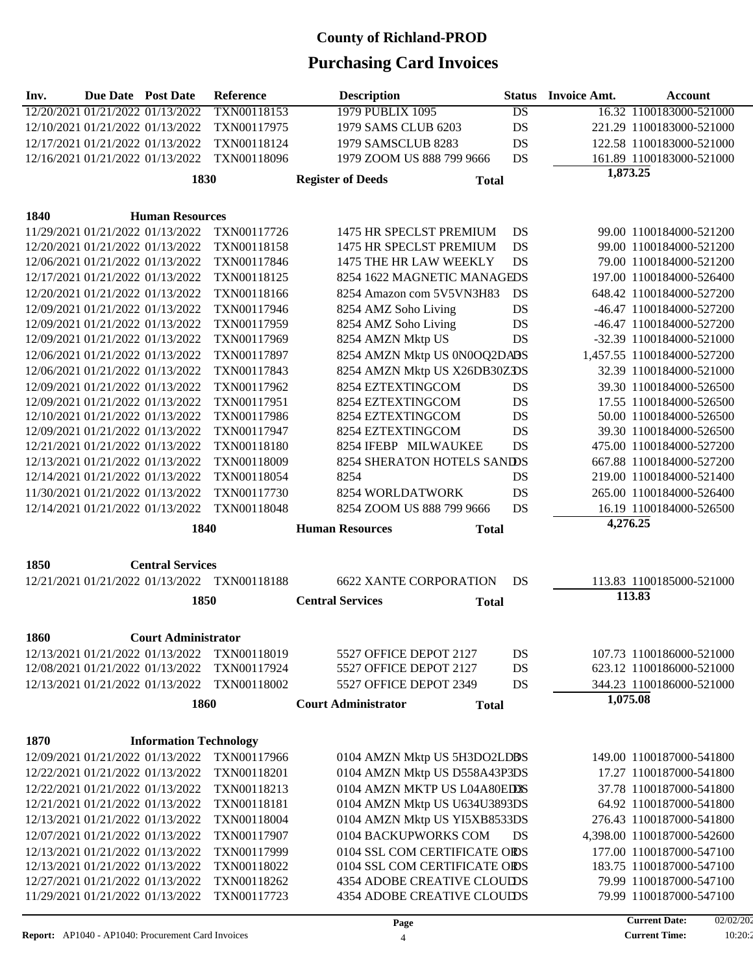| Inv. | <b>Due Date Post Date</b> |                                  | Reference                                    | <b>Description</b>                         | <b>Status</b> | <b>Invoice Amt.</b> | <b>Account</b>             |
|------|---------------------------|----------------------------------|----------------------------------------------|--------------------------------------------|---------------|---------------------|----------------------------|
|      |                           | 12/20/2021 01/21/2022 01/13/2022 | TXN00118153                                  | 1979 PUBLIX 1095                           | DS            |                     | 16.32 1100183000-521000    |
|      |                           | 12/10/2021 01/21/2022 01/13/2022 | TXN00117975                                  | 1979 SAMS CLUB 6203                        | DS            |                     | 221.29 1100183000-521000   |
|      |                           | 12/17/2021 01/21/2022 01/13/2022 | TXN00118124                                  | 1979 SAMSCLUB 8283                         | DS            |                     | 122.58 1100183000-521000   |
|      |                           | 12/16/2021 01/21/2022 01/13/2022 | TXN00118096                                  | 1979 ZOOM US 888 799 9666                  | DS            |                     | 161.89 1100183000-521000   |
|      |                           | 1830                             |                                              | <b>Register of Deeds</b><br><b>Total</b>   |               | 1,873.25            |                            |
|      |                           |                                  |                                              |                                            |               |                     |                            |
| 1840 |                           | <b>Human Resources</b>           |                                              |                                            |               |                     |                            |
|      |                           | 11/29/2021 01/21/2022 01/13/2022 | TXN00117726                                  | 1475 HR SPECLST PREMIUM                    | DS            |                     | 99.00 1100184000-521200    |
|      |                           | 12/20/2021 01/21/2022 01/13/2022 | TXN00118158                                  | 1475 HR SPECLST PREMIUM                    | DS            |                     | 99.00 1100184000-521200    |
|      |                           | 12/06/2021 01/21/2022 01/13/2022 | TXN00117846                                  | 1475 THE HR LAW WEEKLY                     | DS            |                     | 79.00 1100184000-521200    |
|      |                           | 12/17/2021 01/21/2022 01/13/2022 | TXN00118125                                  | 8254 1622 MAGNETIC MANAGEDS                |               |                     | 197.00 1100184000-526400   |
|      |                           | 12/20/2021 01/21/2022 01/13/2022 | TXN00118166                                  | 8254 Amazon com 5V5VN3H83                  | DS            |                     | 648.42 1100184000-527200   |
|      |                           | 12/09/2021 01/21/2022 01/13/2022 | TXN00117946                                  | 8254 AMZ Soho Living                       | <b>DS</b>     |                     | -46.47 1100184000-527200   |
|      |                           | 12/09/2021 01/21/2022 01/13/2022 | TXN00117959                                  | 8254 AMZ Soho Living                       | DS            |                     | -46.47 1100184000-527200   |
|      |                           | 12/09/2021 01/21/2022 01/13/2022 | TXN00117969                                  | 8254 AMZN Mktp US                          | DS            |                     | -32.39 1100184000-521000   |
|      |                           | 12/06/2021 01/21/2022 01/13/2022 | TXN00117897                                  | 8254 AMZN Mktp US 0N0OQ2DADS               |               |                     | 1,457.55 1100184000-527200 |
|      |                           | 12/06/2021 01/21/2022 01/13/2022 | TXN00117843                                  | 8254 AMZN Mktp US X26DB30ZDS               |               |                     | 32.39 1100184000-521000    |
|      |                           | 12/09/2021 01/21/2022 01/13/2022 | TXN00117962                                  | 8254 EZTEXTINGCOM                          | DS            |                     | 39.30 1100184000-526500    |
|      |                           | 12/09/2021 01/21/2022 01/13/2022 | TXN00117951                                  | 8254 EZTEXTINGCOM                          | DS            |                     | 17.55 1100184000-526500    |
|      |                           | 12/10/2021 01/21/2022 01/13/2022 | TXN00117986                                  | 8254 EZTEXTINGCOM                          | DS            |                     | 50.00 1100184000-526500    |
|      |                           | 12/09/2021 01/21/2022 01/13/2022 | TXN00117947                                  | 8254 EZTEXTINGCOM                          | DS            |                     | 39.30 1100184000-526500    |
|      |                           | 12/21/2021 01/21/2022 01/13/2022 | TXN00118180                                  | 8254 IFEBP MILWAUKEE                       | DS            |                     | 475.00 1100184000-527200   |
|      |                           | 12/13/2021 01/21/2022 01/13/2022 | TXN00118009                                  | 8254 SHERATON HOTELS SANDS                 |               |                     | 667.88 1100184000-527200   |
|      |                           | 12/14/2021 01/21/2022 01/13/2022 | TXN00118054                                  | 8254                                       | DS            |                     | 219.00 1100184000-521400   |
|      |                           | 11/30/2021 01/21/2022 01/13/2022 | TXN00117730                                  | 8254 WORLDATWORK                           | DS            |                     | 265.00 1100184000-526400   |
|      |                           | 12/14/2021 01/21/2022 01/13/2022 | TXN00118048                                  | 8254 ZOOM US 888 799 9666                  | <b>DS</b>     |                     | 16.19 1100184000-526500    |
|      |                           | 1840                             |                                              | <b>Human Resources</b><br><b>Total</b>     |               | 4,276.25            |                            |
|      |                           |                                  |                                              |                                            |               |                     |                            |
| 1850 |                           | <b>Central Services</b>          |                                              |                                            |               |                     |                            |
|      |                           |                                  | 12/21/2021 01/21/2022 01/13/2022 TXN00118188 | <b>6622 XANTE CORPORATION</b>              | DS            |                     | 113.83 1100185000-521000   |
|      |                           | 1850                             |                                              | <b>Central Services</b><br><b>Total</b>    |               |                     | 113.83                     |
|      |                           |                                  |                                              |                                            |               |                     |                            |
| 1860 |                           | <b>Court Administrator</b>       |                                              |                                            |               |                     |                            |
|      |                           | 12/13/2021 01/21/2022 01/13/2022 | TXN00118019                                  | 5527 OFFICE DEPOT 2127                     | DS            |                     | 107.73 1100186000-521000   |
|      |                           | 12/08/2021 01/21/2022 01/13/2022 | TXN00117924                                  | 5527 OFFICE DEPOT 2127                     | DS            |                     | 623.12 1100186000-521000   |
|      |                           | 12/13/2021 01/21/2022 01/13/2022 | TXN00118002                                  | 5527 OFFICE DEPOT 2349                     | DS            |                     | 344.23 1100186000-521000   |
|      |                           | 1860                             |                                              | <b>Court Administrator</b><br><b>Total</b> |               | 1,075.08            |                            |
|      |                           |                                  |                                              |                                            |               |                     |                            |
| 1870 |                           | <b>Information Technology</b>    |                                              |                                            |               |                     |                            |
|      |                           | 12/09/2021 01/21/2022 01/13/2022 | TXN00117966                                  | 0104 AMZN Mktp US 5H3DO2LDBS               |               |                     | 149.00 1100187000-541800   |
|      |                           | 12/22/2021 01/21/2022 01/13/2022 | TXN00118201                                  | 0104 AMZN Mktp US D558A43P3DS              |               |                     | 17.27 1100187000-541800    |
|      |                           | 12/22/2021 01/21/2022 01/13/2022 | TXN00118213                                  | 0104 AMZN MKTP US L04A80ED3S               |               |                     | 37.78 1100187000-541800    |
|      |                           | 12/21/2021 01/21/2022 01/13/2022 | TXN00118181                                  | 0104 AMZN Mktp US U634U3893DS              |               |                     | 64.92 1100187000-541800    |
|      |                           | 12/13/2021 01/21/2022 01/13/2022 | TXN00118004                                  | 0104 AMZN Mktp US YI5XB8533DS              |               |                     | 276.43 1100187000-541800   |
|      |                           | 12/07/2021 01/21/2022 01/13/2022 | TXN00117907                                  | 0104 BACKUPWORKS COM                       | DS            |                     | 4,398.00 1100187000-542600 |
|      |                           | 12/13/2021 01/21/2022 01/13/2022 | TXN00117999                                  | 0104 SSL COM CERTIFICATE ORDS              |               |                     | 177.00 1100187000-547100   |
|      |                           | 12/13/2021 01/21/2022 01/13/2022 | TXN00118022                                  | 0104 SSL COM CERTIFICATE ORDS              |               |                     | 183.75 1100187000-547100   |
|      |                           | 12/27/2021 01/21/2022 01/13/2022 | TXN00118262                                  | <b>4354 ADOBE CREATIVE CLOUDS</b>          |               |                     | 79.99 1100187000-547100    |
|      |                           | 11/29/2021 01/21/2022 01/13/2022 | TXN00117723                                  | <b>4354 ADOBE CREATIVE CLOUDS</b>          |               |                     | 79.99 1100187000-547100    |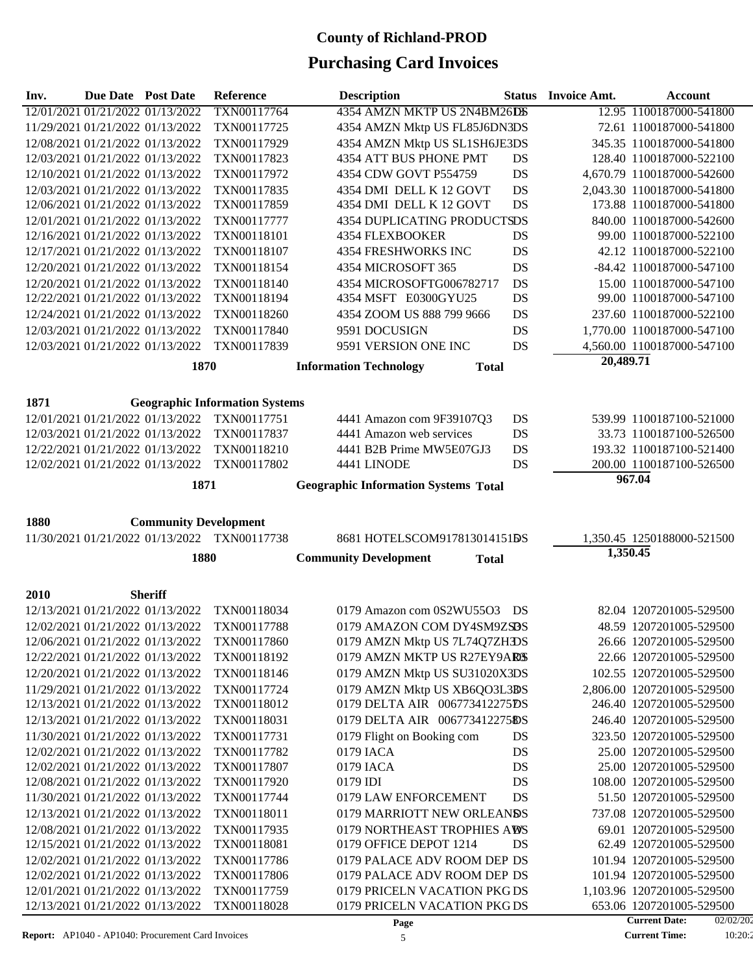# **Purchasing Card Invoices**

| Inv. | <b>Due Date</b> Post Date        |                                  | Reference                                    | <b>Description</b>                            | <b>Status</b> | <b>Invoice Amt.</b> | <b>Account</b>                   |
|------|----------------------------------|----------------------------------|----------------------------------------------|-----------------------------------------------|---------------|---------------------|----------------------------------|
|      |                                  | 12/01/2021 01/21/2022 01/13/2022 | TXN00117764                                  | 4354 AMZN MKTP US 2N4BM26DS                   |               |                     | 12.95 1100187000-541800          |
|      |                                  | 11/29/2021 01/21/2022 01/13/2022 | TXN00117725                                  | 4354 AMZN Mktp US FL85J6DN3DS                 |               |                     | 72.61 1100187000-541800          |
|      |                                  | 12/08/2021 01/21/2022 01/13/2022 | TXN00117929                                  | 4354 AMZN Mktp US SL1SH6JE3DS                 |               |                     | 345.35 1100187000-541800         |
|      |                                  | 12/03/2021 01/21/2022 01/13/2022 | TXN00117823                                  | 4354 ATT BUS PHONE PMT                        | DS            |                     | 128.40 1100187000-522100         |
|      |                                  | 12/10/2021 01/21/2022 01/13/2022 | TXN00117972                                  | 4354 CDW GOVT P554759                         | DS            |                     | 4,670.79 1100187000-542600       |
|      |                                  | 12/03/2021 01/21/2022 01/13/2022 | TXN00117835                                  | 4354 DMI DELL K 12 GOVT                       | DS            |                     | 2,043.30 1100187000-541800       |
|      |                                  | 12/06/2021 01/21/2022 01/13/2022 | TXN00117859                                  | 4354 DMI DELL K 12 GOVT                       | DS            |                     | 173.88 1100187000-541800         |
|      |                                  | 12/01/2021 01/21/2022 01/13/2022 | TXN00117777                                  | <b>4354 DUPLICATING PRODUCTSDS</b>            |               |                     | 840.00 1100187000-542600         |
|      |                                  | 12/16/2021 01/21/2022 01/13/2022 | TXN00118101                                  | 4354 FLEXBOOKER                               | DS            |                     | 99.00 1100187000-522100          |
|      | 12/17/2021 01/21/2022 01/13/2022 |                                  | TXN00118107                                  | 4354 FRESHWORKS INC                           | DS            |                     | 42.12 1100187000-522100          |
|      |                                  | 12/20/2021 01/21/2022 01/13/2022 | TXN00118154                                  | 4354 MICROSOFT 365                            | DS            |                     | -84.42 1100187000-547100         |
|      |                                  | 12/20/2021 01/21/2022 01/13/2022 | TXN00118140                                  | 4354 MICROSOFTG006782717                      | DS            |                     | 15.00 1100187000-547100          |
|      |                                  | 12/22/2021 01/21/2022 01/13/2022 | TXN00118194                                  | 4354 MSFT E0300GYU25                          | DS            |                     | 99.00 1100187000-547100          |
|      |                                  | 12/24/2021 01/21/2022 01/13/2022 | TXN00118260                                  | 4354 ZOOM US 888 799 9666                     | DS            |                     | 237.60 1100187000-522100         |
|      |                                  | 12/03/2021 01/21/2022 01/13/2022 | TXN00117840                                  | 9591 DOCUSIGN                                 | DS            |                     | 1,770.00 1100187000-547100       |
|      |                                  | 12/03/2021 01/21/2022 01/13/2022 | TXN00117839                                  | 9591 VERSION ONE INC                          | DS            |                     | 4,560.00 1100187000-547100       |
|      |                                  | 1870                             |                                              | <b>Information Technology</b><br><b>Total</b> |               | 20,489.71           |                                  |
|      |                                  |                                  |                                              |                                               |               |                     |                                  |
| 1871 |                                  |                                  | <b>Geographic Information Systems</b>        |                                               |               |                     |                                  |
|      |                                  | 12/01/2021 01/21/2022 01/13/2022 | TXN00117751                                  | 4441 Amazon com 9F39107Q3                     | DS            |                     | 539.99 1100187100-521000         |
|      |                                  | 12/03/2021 01/21/2022 01/13/2022 | TXN00117837                                  | 4441 Amazon web services                      | DS            |                     | 33.73 1100187100-526500          |
|      |                                  | 12/22/2021 01/21/2022 01/13/2022 | TXN00118210                                  | 4441 B2B Prime MW5E07GJ3                      | DS            |                     | 193.32 1100187100-521400         |
|      |                                  | 12/02/2021 01/21/2022 01/13/2022 | TXN00117802                                  | 4441 LINODE                                   | DS            |                     | 200.00 1100187100-526500         |
|      |                                  |                                  |                                              |                                               |               |                     | 967.04                           |
|      |                                  | 1871                             |                                              | <b>Geographic Information Systems Total</b>   |               |                     |                                  |
|      |                                  |                                  |                                              |                                               |               |                     |                                  |
| 1880 |                                  | <b>Community Development</b>     |                                              |                                               |               |                     |                                  |
|      |                                  |                                  | 11/30/2021 01/21/2022 01/13/2022 TXN00117738 | 8681 HOTELSCOM917813014151DS                  |               |                     | 1,350.45 1250188000-521500       |
|      |                                  | 1880                             |                                              | <b>Community Development</b><br><b>Total</b>  |               | 1,350.45            |                                  |
|      |                                  |                                  |                                              |                                               |               |                     |                                  |
| 2010 |                                  | <b>Sheriff</b>                   |                                              |                                               |               |                     |                                  |
|      |                                  | 12/13/2021 01/21/2022 01/13/2022 | TXN00118034                                  | 0179 Amazon com 0S2WU55O3 DS                  |               |                     | 82.04 1207201005-529500          |
|      |                                  | 12/02/2021 01/21/2022 01/13/2022 | TXN00117788                                  | 0179 AMAZON COM DY4SM9ZSDS                    |               |                     | 48.59 1207201005-529500          |
|      |                                  | 12/06/2021 01/21/2022 01/13/2022 | TXN00117860                                  | 0179 AMZN Mktp US 7L74Q7ZHDS                  |               |                     | 26.66 1207201005-529500          |
|      |                                  | 12/22/2021 01/21/2022 01/13/2022 | TXN00118192                                  | 0179 AMZN MKTP US R27EY9ARS                   |               |                     | 22.66 1207201005-529500          |
|      |                                  | 12/20/2021 01/21/2022 01/13/2022 | TXN00118146                                  | 0179 AMZN Mktp US SU31020X3DS                 |               |                     | 102.55 1207201005-529500         |
|      |                                  | 11/29/2021 01/21/2022 01/13/2022 | TXN00117724                                  | 0179 AMZN Mktp US XB6QO3L3BS                  |               |                     | 2,806.00 1207201005-529500       |
|      |                                  | 12/13/2021 01/21/2022 01/13/2022 | TXN00118012                                  | 0179 DELTA AIR 006773412275DS                 |               |                     | 246.40 1207201005-529500         |
|      |                                  | 12/13/2021 01/21/2022 01/13/2022 | TXN00118031                                  | 0179 DELTA AIR 00677341227580S                |               |                     | 246.40 1207201005-529500         |
|      |                                  | 11/30/2021 01/21/2022 01/13/2022 | TXN00117731                                  | 0179 Flight on Booking com                    | DS            |                     | 323.50 1207201005-529500         |
|      |                                  | 12/02/2021 01/21/2022 01/13/2022 | TXN00117782                                  | 0179 IACA                                     | DS            |                     | 25.00 1207201005-529500          |
|      |                                  | 12/02/2021 01/21/2022 01/13/2022 | TXN00117807                                  | 0179 IACA                                     | DS            |                     | 25.00 1207201005-529500          |
|      |                                  | 12/08/2021 01/21/2022 01/13/2022 | TXN00117920                                  | 0179 IDI                                      | DS            |                     | 108.00 1207201005-529500         |
|      |                                  | 11/30/2021 01/21/2022 01/13/2022 | TXN00117744                                  | 0179 LAW ENFORCEMENT                          | DS            |                     | 51.50 1207201005-529500          |
|      |                                  | 12/13/2021 01/21/2022 01/13/2022 | TXN00118011                                  | 0179 MARRIOTT NEW ORLEANDS                    |               |                     | 737.08 1207201005-529500         |
|      |                                  | 12/08/2021 01/21/2022 01/13/2022 | TXN00117935                                  | 0179 NORTHEAST TROPHIES AWS                   |               |                     | 69.01 1207201005-529500          |
|      |                                  | 12/15/2021 01/21/2022 01/13/2022 | TXN00118081                                  | 0179 OFFICE DEPOT 1214                        | DS            |                     | 62.49 1207201005-529500          |
|      |                                  | 12/02/2021 01/21/2022 01/13/2022 | TXN00117786                                  | 0179 PALACE ADV ROOM DEP DS                   |               |                     | 101.94 1207201005-529500         |
|      |                                  | 12/02/2021 01/21/2022 01/13/2022 | TXN00117806                                  | 0179 PALACE ADV ROOM DEP DS                   |               |                     | 101.94 1207201005-529500         |
|      |                                  | 12/01/2021 01/21/2022 01/13/2022 | TXN00117759                                  | 0179 PRICELN VACATION PKG DS                  |               |                     | 1,103.96 1207201005-529500       |
|      |                                  | 12/13/2021 01/21/2022 01/13/2022 | TXN00118028                                  | 0179 PRICELN VACATION PKG DS                  |               |                     | 653.06 1207201005-529500         |
|      |                                  |                                  |                                              | Page                                          |               |                     | <b>Current Date:</b><br>02/02/20 |

**Report:** AP1040 - AP1040: Procurement Card Invoices 5

**Current Date: Current Time:**

10:20:2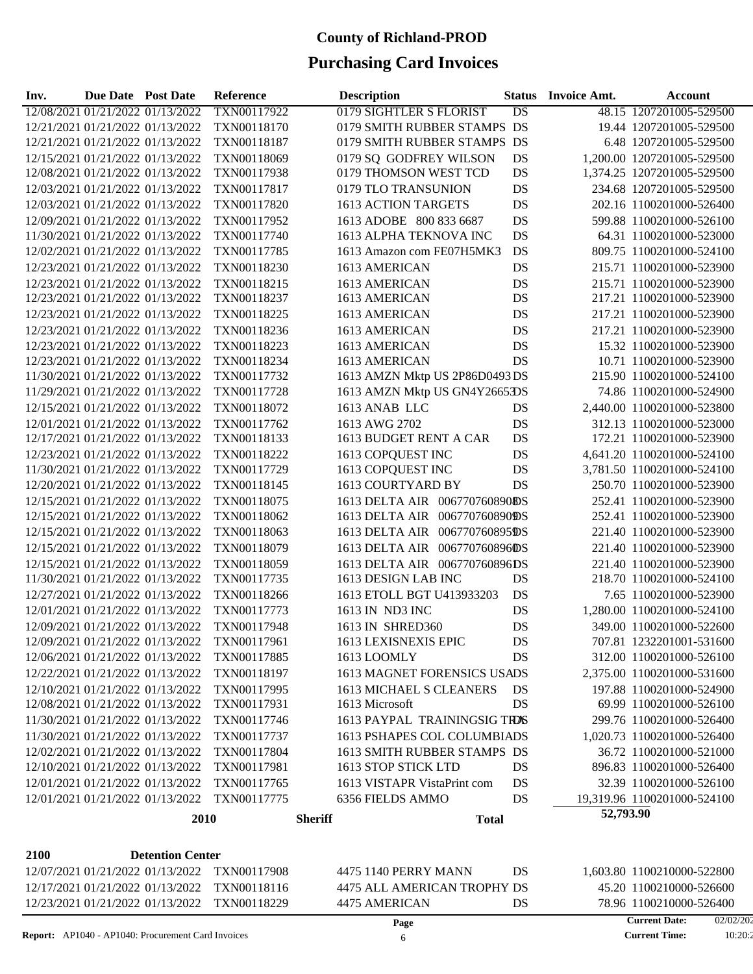| Inv.                             | <b>Due Date</b> Post Date | Reference   | <b>Description</b>             | Status          | Invoice Amt. | <b>Account</b>              |
|----------------------------------|---------------------------|-------------|--------------------------------|-----------------|--------------|-----------------------------|
| 12/08/2021 01/21/2022 01/13/2022 |                           | TXN00117922 | 0179 SIGHTLER S FLORIST        | $\overline{DS}$ |              | 48.15 1207201005-529500     |
| 12/21/2021 01/21/2022 01/13/2022 |                           | TXN00118170 | 0179 SMITH RUBBER STAMPS DS    |                 |              | 19.44 1207201005-529500     |
| 12/21/2021 01/21/2022 01/13/2022 |                           | TXN00118187 | 0179 SMITH RUBBER STAMPS DS    |                 |              | 6.48 1207201005-529500      |
| 12/15/2021 01/21/2022 01/13/2022 |                           | TXN00118069 | 0179 SQ GODFREY WILSON         | DS              |              | 1,200.00 1207201005-529500  |
| 12/08/2021 01/21/2022 01/13/2022 |                           | TXN00117938 | 0179 THOMSON WEST TCD          | DS              |              | 1,374.25 1207201005-529500  |
| 12/03/2021 01/21/2022 01/13/2022 |                           | TXN00117817 | 0179 TLO TRANSUNION            | DS              |              | 234.68 1207201005-529500    |
| 12/03/2021 01/21/2022 01/13/2022 |                           | TXN00117820 | 1613 ACTION TARGETS            | DS              |              | 202.16 1100201000-526400    |
| 12/09/2021 01/21/2022 01/13/2022 |                           | TXN00117952 | 1613 ADOBE 800 833 6687        | DS              |              | 599.88 1100201000-526100    |
| 11/30/2021 01/21/2022 01/13/2022 |                           | TXN00117740 | 1613 ALPHA TEKNOVA INC         | DS              |              | 64.31 1100201000-523000     |
| 12/02/2021 01/21/2022 01/13/2022 |                           | TXN00117785 | 1613 Amazon com FE07H5MK3      | DS              |              | 809.75 1100201000-524100    |
| 12/23/2021 01/21/2022 01/13/2022 |                           | TXN00118230 | 1613 AMERICAN                  | DS              |              | 215.71 1100201000-523900    |
| 12/23/2021 01/21/2022 01/13/2022 |                           | TXN00118215 | 1613 AMERICAN                  | DS              |              | 215.71 1100201000-523900    |
| 12/23/2021 01/21/2022 01/13/2022 |                           | TXN00118237 | 1613 AMERICAN                  | DS              |              | 217.21 1100201000-523900    |
| 12/23/2021 01/21/2022 01/13/2022 |                           | TXN00118225 | 1613 AMERICAN                  | DS              |              | 217.21 1100201000-523900    |
| 12/23/2021 01/21/2022 01/13/2022 |                           | TXN00118236 | 1613 AMERICAN                  | DS              |              | 217.21 1100201000-523900    |
| 12/23/2021 01/21/2022 01/13/2022 |                           | TXN00118223 | 1613 AMERICAN                  | DS              |              | 15.32 1100201000-523900     |
| 12/23/2021 01/21/2022 01/13/2022 |                           | TXN00118234 | 1613 AMERICAN                  | DS              |              | 10.71 1100201000-523900     |
| 11/30/2021 01/21/2022 01/13/2022 |                           | TXN00117732 | 1613 AMZN Mktp US 2P86D0493 DS |                 |              | 215.90 1100201000-524100    |
| 11/29/2021 01/21/2022 01/13/2022 |                           | TXN00117728 | 1613 AMZN Mktp US GN4Y2665DS   |                 |              | 74.86 1100201000-524900     |
| 12/15/2021 01/21/2022 01/13/2022 |                           | TXN00118072 | 1613 ANAB LLC                  | DS              |              | 2,440.00 1100201000-523800  |
| 12/01/2021 01/21/2022 01/13/2022 |                           | TXN00117762 | 1613 AWG 2702                  | DS              |              | 312.13 1100201000-523000    |
| 12/17/2021 01/21/2022 01/13/2022 |                           | TXN00118133 | 1613 BUDGET RENT A CAR         | DS              |              | 172.21 1100201000-523900    |
| 12/23/2021 01/21/2022 01/13/2022 |                           | TXN00118222 | 1613 COPQUEST INC              | DS              |              | 4,641.20 1100201000-524100  |
| 11/30/2021 01/21/2022 01/13/2022 |                           | TXN00117729 | 1613 COPQUEST INC              | DS              |              | 3,781.50 1100201000-524100  |
| 12/20/2021 01/21/2022 01/13/2022 |                           | TXN00118145 | 1613 COURTYARD BY              | DS              |              | 250.70 1100201000-523900    |
| 12/15/2021 01/21/2022 01/13/2022 |                           | TXN00118075 | 1613 DELTA AIR 006770760890®S  |                 |              | 252.41 1100201000-523900    |
| 12/15/2021 01/21/2022 01/13/2022 |                           | TXN00118062 | 1613 DELTA AIR 0067707608909DS |                 |              | 252.41 1100201000-523900    |
| 12/15/2021 01/21/2022 01/13/2022 |                           | TXN00118063 | 1613 DELTA AIR 0067707608959DS |                 |              | 221.40 1100201000-523900    |
| 12/15/2021 01/21/2022 01/13/2022 |                           | TXN00118079 | 1613 DELTA AIR 006770760896DS  |                 |              | 221.40 1100201000-523900    |
| 12/15/2021 01/21/2022 01/13/2022 |                           | TXN00118059 | 1613 DELTA AIR 006770760896DS  |                 |              | 221.40 1100201000-523900    |
| 11/30/2021 01/21/2022 01/13/2022 |                           | TXN00117735 | 1613 DESIGN LAB INC            | DS              |              | 218.70 1100201000-524100    |
| 12/27/2021 01/21/2022 01/13/2022 |                           | TXN00118266 | 1613 ETOLL BGT U413933203      | DS              |              | 7.65 1100201000-523900      |
| 12/01/2021 01/21/2022 01/13/2022 |                           | TXN00117773 | 1613 IN ND3 INC                | DS              |              | 1,280.00 1100201000-524100  |
| 12/09/2021 01/21/2022 01/13/2022 |                           | TXN00117948 | 1613 IN SHRED360               | DS              |              | 349.00 1100201000-522600    |
| 12/09/2021 01/21/2022 01/13/2022 |                           | TXN00117961 | 1613 LEXISNEXIS EPIC           | DS              |              | 707.81 1232201001-531600    |
| 12/06/2021 01/21/2022 01/13/2022 |                           | TXN00117885 | 1613 LOOMLY                    | DS              |              | 312.00 1100201000-526100    |
| 12/22/2021 01/21/2022 01/13/2022 |                           | TXN00118197 | 1613 MAGNET FORENSICS USADS    |                 |              | 2,375.00 1100201000-531600  |
| 12/10/2021 01/21/2022 01/13/2022 |                           | TXN00117995 | <b>1613 MICHAEL S CLEANERS</b> | DS              |              | 197.88 1100201000-524900    |
| 12/08/2021 01/21/2022 01/13/2022 |                           | TXN00117931 | 1613 Microsoft                 | DS              |              | 69.99 1100201000-526100     |
| 11/30/2021 01/21/2022 01/13/2022 |                           | TXN00117746 | 1613 PAYPAL TRAININGSIG TRAS   |                 |              | 299.76 1100201000-526400    |
| 11/30/2021 01/21/2022 01/13/2022 |                           | TXN00117737 | 1613 PSHAPES COL COLUMBIADS    |                 |              | 1,020.73 1100201000-526400  |
| 12/02/2021 01/21/2022 01/13/2022 |                           | TXN00117804 | 1613 SMITH RUBBER STAMPS DS    |                 |              | 36.72 1100201000-521000     |
| 12/10/2021 01/21/2022 01/13/2022 |                           | TXN00117981 | 1613 STOP STICK LTD            | DS              |              | 896.83 1100201000-526400    |
| 12/01/2021 01/21/2022 01/13/2022 |                           | TXN00117765 | 1613 VISTAPR VistaPrint com    | DS              |              | 32.39 1100201000-526100     |
| 12/01/2021 01/21/2022 01/13/2022 |                           | TXN00117775 | 6356 FIELDS AMMO               | DS              |              | 19,319.96 1100201000-524100 |
|                                  |                           |             |                                |                 | 52,793.90    |                             |
|                                  | 2010                      |             | <b>Sheriff</b><br><b>Total</b> |                 |              |                             |
| 2100                             | <b>Detention Center</b>   |             |                                |                 |              |                             |
| 12/07/2021 01/21/2022 01/13/2022 |                           | TXN00117908 | 4475 1140 PERRY MANN           | DS              |              | 1,603.80 1100210000-522800  |
| 12/17/2021 01/21/2022 01/13/2022 |                           | TXN00118116 | 4475 ALL AMERICAN TROPHY DS    |                 |              | 45.20 1100210000-526600     |
| 12/23/2021 01/21/2022 01/13/2022 |                           | TXN00118229 | 4475 AMERICAN                  | DS              |              | 78.96 1100210000-526400     |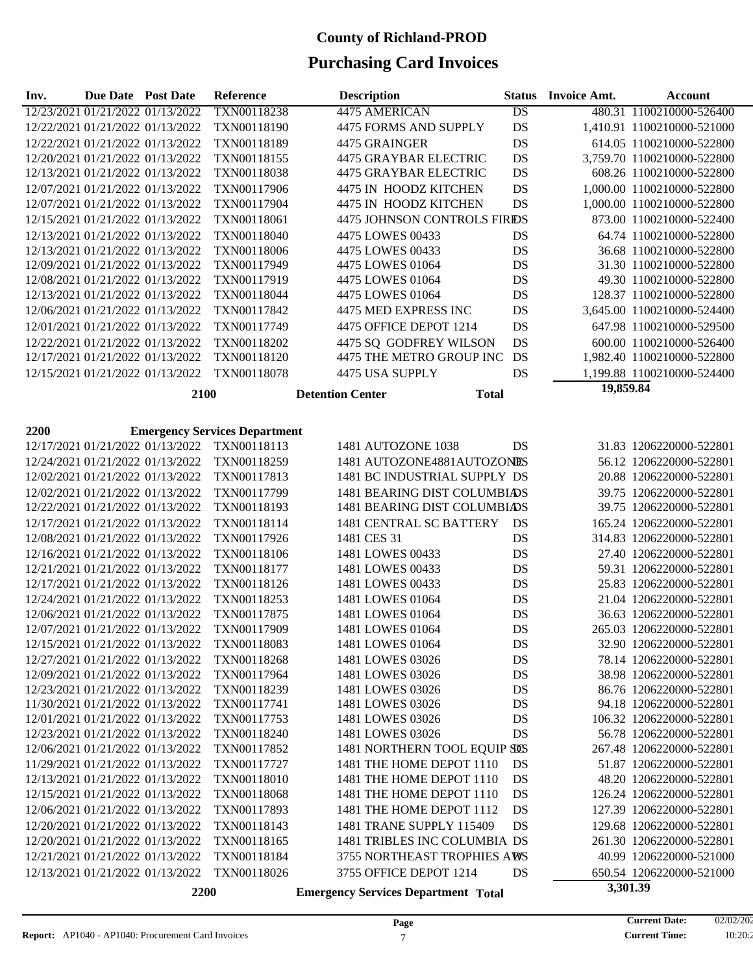| Inv. | Due Date Post Date |                                                                      | <b>Reference</b>                     | <b>Description</b>                         | <b>Status</b> | <b>Invoice Amt.</b> | Account                    |
|------|--------------------|----------------------------------------------------------------------|--------------------------------------|--------------------------------------------|---------------|---------------------|----------------------------|
|      |                    | 12/23/2021 01/21/2022 01/13/2022                                     | <b>TXN00118238</b>                   | 4475 AMERICAN                              | DS            |                     | 480.31 1100210000-526400   |
|      |                    | 12/22/2021 01/21/2022 01/13/2022                                     | TXN00118190                          | 4475 FORMS AND SUPPLY                      | DS            |                     | 1,410.91 1100210000-521000 |
|      |                    | 12/22/2021 01/21/2022 01/13/2022                                     | TXN00118189                          | 4475 GRAINGER                              | DS            |                     | 614.05 1100210000-522800   |
|      |                    | 12/20/2021 01/21/2022 01/13/2022                                     | TXN00118155                          | 4475 GRAYBAR ELECTRIC                      | DS            |                     | 3,759.70 1100210000-522800 |
|      |                    | 12/13/2021 01/21/2022 01/13/2022                                     | TXN00118038                          | 4475 GRAYBAR ELECTRIC                      | DS            |                     | 608.26 1100210000-522800   |
|      |                    | 12/07/2021 01/21/2022 01/13/2022                                     | TXN00117906                          | 4475 IN HOODZ KITCHEN                      | DS            |                     | 1,000.00 1100210000-522800 |
|      |                    | 12/07/2021 01/21/2022 01/13/2022                                     | TXN00117904                          | 4475 IN HOODZ KITCHEN                      | DS            |                     | 1,000.00 1100210000-522800 |
|      |                    | 12/15/2021 01/21/2022 01/13/2022                                     | TXN00118061                          | 4475 JOHNSON CONTROLS FIRIDS               |               |                     | 873.00 1100210000-522400   |
|      |                    | 12/13/2021 01/21/2022 01/13/2022                                     | TXN00118040                          | 4475 LOWES 00433                           | DS            |                     | 64.74 1100210000-522800    |
|      |                    | 12/13/2021 01/21/2022 01/13/2022                                     | TXN00118006                          | 4475 LOWES 00433                           | DS            |                     | 36.68 1100210000-522800    |
|      |                    | 12/09/2021 01/21/2022 01/13/2022                                     | TXN00117949                          | 4475 LOWES 01064                           | DS            |                     | 31.30 1100210000-522800    |
|      |                    | 12/08/2021 01/21/2022 01/13/2022                                     | TXN00117919                          | 4475 LOWES 01064                           | DS            |                     | 49.30 1100210000-522800    |
|      |                    | 12/13/2021 01/21/2022 01/13/2022                                     | TXN00118044                          | 4475 LOWES 01064                           | DS            |                     | 128.37 1100210000-522800   |
|      |                    | 12/06/2021 01/21/2022 01/13/2022                                     | TXN00117842                          | 4475 MED EXPRESS INC                       | DS            |                     | 3,645.00 1100210000-524400 |
|      |                    | 12/01/2021 01/21/2022 01/13/2022                                     | TXN00117749                          | 4475 OFFICE DEPOT 1214                     | DS            |                     | 647.98 1100210000-529500   |
|      |                    |                                                                      |                                      | 4475 SQ GODFREY WILSON                     |               |                     |                            |
|      |                    | 12/22/2021 01/21/2022 01/13/2022<br>12/17/2021 01/21/2022 01/13/2022 | TXN00118202                          |                                            | DS            |                     | 600.00 1100210000-526400   |
|      |                    |                                                                      | TXN00118120                          | 4475 THE METRO GROUP INC                   | DS            |                     | 1,982.40 1100210000-522800 |
|      |                    | 12/15/2021 01/21/2022 01/13/2022                                     | TXN00118078                          | 4475 USA SUPPLY                            | DS            |                     | 1,199.88 1100210000-524400 |
|      |                    | 2100                                                                 |                                      | <b>Detention Center</b>                    | <b>Total</b>  | 19,859.84           |                            |
|      |                    |                                                                      |                                      |                                            |               |                     |                            |
|      |                    |                                                                      | <b>Emergency Services Department</b> |                                            |               |                     |                            |
| 2200 |                    | 12/17/2021 01/21/2022 01/13/2022                                     | TXN00118113                          | 1481 AUTOZONE 1038                         | DS            |                     | 31.83 1206220000-522801    |
|      |                    |                                                                      |                                      |                                            |               |                     |                            |
|      |                    | 12/24/2021 01/21/2022 01/13/2022                                     | TXN00118259                          | 1481 AUTOZONE4881AUTOZONES                 |               |                     | 56.12 1206220000-522801    |
|      |                    | 12/02/2021 01/21/2022 01/13/2022                                     | TXN00117813                          | 1481 BC INDUSTRIAL SUPPLY DS               |               |                     | 20.88 1206220000-522801    |
|      |                    | 12/02/2021 01/21/2022 01/13/2022                                     | TXN00117799                          | 1481 BEARING DIST COLUMBIADS               |               |                     | 39.75 1206220000-522801    |
|      |                    | 12/22/2021 01/21/2022 01/13/2022                                     | TXN00118193                          | <b>1481 BEARING DIST COLUMBIADS</b>        |               |                     | 39.75 1206220000-522801    |
|      |                    | 12/17/2021 01/21/2022 01/13/2022                                     | TXN00118114                          | <b>1481 CENTRAL SC BATTERY</b>             | DS            |                     | 165.24 1206220000-522801   |
|      |                    | 12/08/2021 01/21/2022 01/13/2022                                     | TXN00117926                          | 1481 CES 31                                | DS            |                     | 314.83 1206220000-522801   |
|      |                    | 12/16/2021 01/21/2022 01/13/2022                                     | TXN00118106                          | 1481 LOWES 00433                           | DS            |                     | 27.40 1206220000-522801    |
|      |                    | 12/21/2021 01/21/2022 01/13/2022                                     | TXN00118177                          | 1481 LOWES 00433                           | DS            |                     | 59.31 1206220000-522801    |
|      |                    | 12/17/2021 01/21/2022 01/13/2022                                     | TXN00118126                          | 1481 LOWES 00433                           | DS            |                     | 25.83 1206220000-522801    |
|      |                    | 12/24/2021 01/21/2022 01/13/2022                                     | TXN00118253                          | 1481 LOWES 01064                           | DS            |                     | 21.04 1206220000-522801    |
|      |                    | 12/06/2021 01/21/2022 01/13/2022                                     | TXN00117875                          | 1481 LOWES 01064                           | DS            |                     | 36.63 1206220000-522801    |
|      |                    | 12/07/2021 01/21/2022 01/13/2022                                     | TXN00117909                          | 1481 LOWES 01064                           | DS            |                     | 265.03 1206220000-522801   |
|      |                    | 12/15/2021 01/21/2022 01/13/2022                                     | TXN00118083                          | 1481 LOWES 01064                           | DS            |                     | 32.90 1206220000-522801    |
|      |                    | 12/27/2021 01/21/2022 01/13/2022                                     | <b>TXN00118268</b>                   | 1481 LOWES 03026                           | DS            |                     | 78.14 1206220000-522801    |
|      |                    | 12/09/2021 01/21/2022 01/13/2022                                     | TXN00117964                          | 1481 LOWES 03026                           | DS            |                     | 38.98 1206220000-522801    |
|      |                    | 12/23/2021 01/21/2022 01/13/2022                                     | TXN00118239                          | 1481 LOWES 03026                           | DS            |                     | 86.76 1206220000-522801    |
|      |                    | 11/30/2021 01/21/2022 01/13/2022                                     | TXN00117741                          | 1481 LOWES 03026                           | DS            |                     | 94.18 1206220000-522801    |
|      |                    | 12/01/2021 01/21/2022 01/13/2022                                     | TXN00117753                          | 1481 LOWES 03026                           | DS            |                     | 106.32 1206220000-522801   |
|      |                    | 12/23/2021 01/21/2022 01/13/2022                                     | TXN00118240                          | 1481 LOWES 03026                           | DS            |                     | 56.78 1206220000-522801    |
|      |                    | 12/06/2021 01/21/2022 01/13/2022                                     | TXN00117852                          | 1481 NORTHERN TOOL EQUIP SOS               |               |                     | 267.48 1206220000-522801   |
|      |                    | 11/29/2021 01/21/2022 01/13/2022                                     | TXN00117727                          | 1481 THE HOME DEPOT 1110                   | DS            |                     | 51.87 1206220000-522801    |
|      |                    | 12/13/2021 01/21/2022 01/13/2022                                     | TXN00118010                          | 1481 THE HOME DEPOT 1110                   | DS            |                     | 48.20 1206220000-522801    |
|      |                    | 12/15/2021 01/21/2022 01/13/2022                                     | TXN00118068                          | 1481 THE HOME DEPOT 1110                   | DS            |                     | 126.24 1206220000-522801   |
|      |                    | 12/06/2021 01/21/2022 01/13/2022                                     | TXN00117893                          | 1481 THE HOME DEPOT 1112                   | DS            |                     | 127.39 1206220000-522801   |
|      |                    | 12/20/2021 01/21/2022 01/13/2022                                     | TXN00118143                          | 1481 TRANE SUPPLY 115409                   | DS            |                     | 129.68 1206220000-522801   |
|      |                    | 12/20/2021 01/21/2022 01/13/2022                                     | TXN00118165                          | 1481 TRIBLES INC COLUMBIA DS               |               |                     | 261.30 1206220000-522801   |
|      |                    | 12/21/2021 01/21/2022 01/13/2022                                     | TXN00118184                          | 3755 NORTHEAST TROPHIES AWS                |               |                     | 40.99 1206220000-521000    |
|      |                    | 12/13/2021 01/21/2022 01/13/2022                                     | TXN00118026                          | 3755 OFFICE DEPOT 1214                     | DS            |                     | 650.54 1206220000-521000   |
|      |                    | 2200                                                                 |                                      | <b>Emergency Services Department Total</b> |               | 3,301.39            |                            |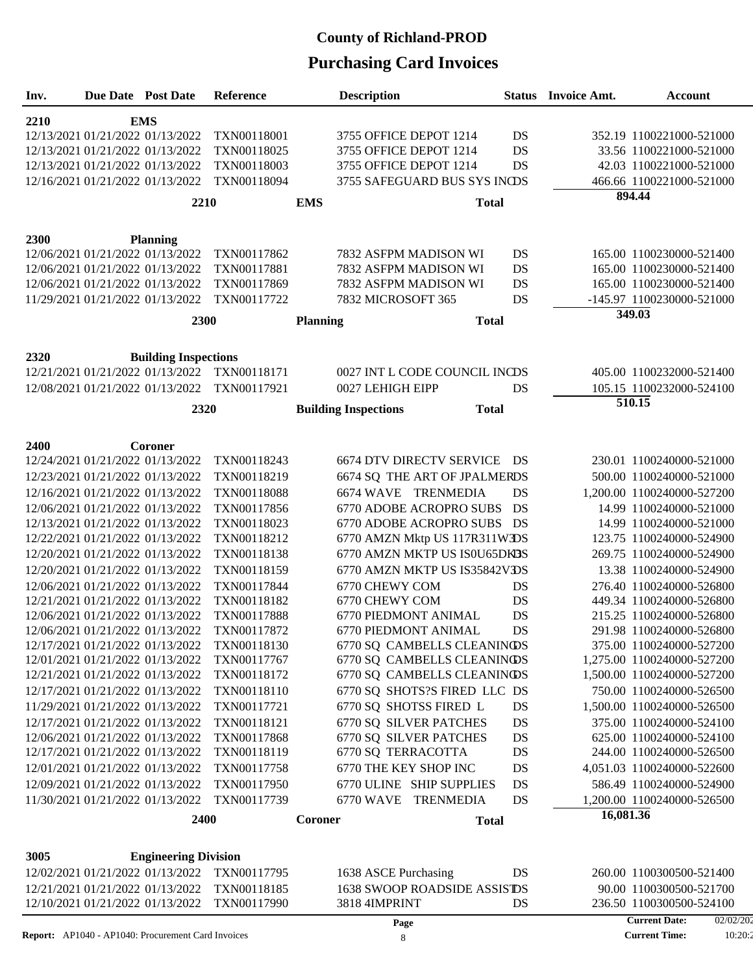| Inv.                                                                 | <b>Due Date Post Date</b>   | <b>Reference</b>           |                 | <b>Description</b>               |                                 |           | <b>Status</b> Invoice Amt. | <b>Account</b>                                       |          |
|----------------------------------------------------------------------|-----------------------------|----------------------------|-----------------|----------------------------------|---------------------------------|-----------|----------------------------|------------------------------------------------------|----------|
| 2210                                                                 | <b>EMS</b>                  |                            |                 |                                  |                                 |           |                            |                                                      |          |
| 12/13/2021 01/21/2022 01/13/2022                                     |                             | TXN00118001                |                 |                                  | 3755 OFFICE DEPOT 1214          | DS        |                            | 352.19 1100221000-521000                             |          |
| 12/13/2021 01/21/2022 01/13/2022                                     |                             | TXN00118025                |                 |                                  | 3755 OFFICE DEPOT 1214          | DS        |                            | 33.56 1100221000-521000                              |          |
| 12/13/2021 01/21/2022 01/13/2022                                     |                             | TXN00118003                |                 |                                  | 3755 OFFICE DEPOT 1214          | DS        |                            | 42.03 1100221000-521000                              |          |
| 12/16/2021 01/21/2022 01/13/2022                                     |                             | TXN00118094                |                 |                                  | 3755 SAFEGUARD BUS SYS INDS     |           |                            | 466.66 1100221000-521000                             |          |
|                                                                      |                             |                            |                 |                                  |                                 |           |                            | 894.44                                               |          |
|                                                                      | 2210                        |                            | <b>EMS</b>      |                                  | <b>Total</b>                    |           |                            |                                                      |          |
| 2300                                                                 | <b>Planning</b>             |                            |                 |                                  |                                 |           |                            |                                                      |          |
| 12/06/2021 01/21/2022 01/13/2022                                     |                             | TXN00117862                |                 |                                  | 7832 ASFPM MADISON WI           | DS        |                            | 165.00 1100230000-521400                             |          |
| 12/06/2021 01/21/2022 01/13/2022                                     |                             | TXN00117881                |                 |                                  | 7832 ASFPM MADISON WI           | DS        |                            | 165.00 1100230000-521400                             |          |
| 12/06/2021 01/21/2022 01/13/2022                                     |                             | TXN00117869                |                 |                                  | 7832 ASFPM MADISON WI           | DS        |                            | 165.00 1100230000-521400                             |          |
| 11/29/2021 01/21/2022 01/13/2022                                     |                             | TXN00117722                |                 | 7832 MICROSOFT 365               |                                 | <b>DS</b> |                            | -145.97 1100230000-521000                            |          |
|                                                                      |                             |                            |                 |                                  |                                 |           |                            | 349.03                                               |          |
|                                                                      | 2300                        |                            | <b>Planning</b> |                                  | <b>Total</b>                    |           |                            |                                                      |          |
| 2320                                                                 | <b>Building Inspections</b> |                            |                 |                                  |                                 |           |                            |                                                      |          |
| 12/21/2021 01/21/2022 01/13/2022                                     |                             | TXN00118171                |                 |                                  | 0027 INT L CODE COUNCIL INCDS   |           |                            | 405.00 1100232000-521400                             |          |
| 12/08/2021 01/21/2022 01/13/2022                                     |                             | TXN00117921                |                 | 0027 LEHIGH EIPP                 |                                 | DS        |                            | 105.15 1100232000-524100                             |          |
|                                                                      |                             |                            |                 |                                  |                                 |           |                            | 510.15                                               |          |
|                                                                      | 2320                        |                            |                 | <b>Building Inspections</b>      | <b>Total</b>                    |           |                            |                                                      |          |
|                                                                      |                             |                            |                 |                                  |                                 |           |                            |                                                      |          |
| 2400                                                                 | Coroner                     |                            |                 |                                  |                                 |           |                            |                                                      |          |
| 12/24/2021 01/21/2022 01/13/2022                                     |                             | TXN00118243                |                 |                                  | <b>6674 DTV DIRECTV SERVICE</b> | DS        |                            | 230.01 1100240000-521000                             |          |
| 12/23/2021 01/21/2022 01/13/2022                                     |                             | TXN00118219                |                 |                                  | 6674 SQ THE ART OF JPALMERDS    |           |                            | 500.00 1100240000-521000                             |          |
| 12/16/2021 01/21/2022 01/13/2022                                     |                             | TXN00118088                |                 |                                  | 6674 WAVE TRENMEDIA             | DS        |                            | 1,200.00 1100240000-527200                           |          |
| 12/06/2021 01/21/2022 01/13/2022                                     |                             | TXN00117856                |                 |                                  | <b>6770 ADOBE ACROPRO SUBS</b>  | DS        |                            | 14.99 1100240000-521000                              |          |
| 12/13/2021 01/21/2022 01/13/2022                                     |                             | TXN00118023                |                 |                                  | 6770 ADOBE ACROPRO SUBS         | DS        |                            | 14.99 1100240000-521000                              |          |
| 12/22/2021 01/21/2022 01/13/2022                                     |                             | TXN00118212                |                 |                                  | 6770 AMZN Mktp US 117R311W3DS   |           |                            | 123.75 1100240000-524900                             |          |
| 12/20/2021 01/21/2022 01/13/2022                                     |                             | TXN00118138                |                 |                                  | 6770 AMZN MKTP US ISOU65DKJ3S   |           |                            | 269.75 1100240000-524900                             |          |
| 12/20/2021 01/21/2022 01/13/2022                                     |                             | TXN00118159                |                 |                                  | 6770 AMZN MKTP US IS35842VDS    |           |                            | 13.38 1100240000-524900                              |          |
| 12/06/2021 01/21/2022 01/13/2022                                     |                             | TXN00117844<br>TXN00118182 |                 | 6770 CHEWY COM<br>6770 CHEWY COM |                                 | DS        |                            | 276.40 1100240000-526800<br>449.34 1100240000-526800 |          |
| 12/21/2021 01/21/2022 01/13/2022<br>12/06/2021 01/21/2022 01/13/2022 |                             | TXN00117888                |                 |                                  | 6770 PIEDMONT ANIMAL            | DS<br>DS  |                            | 215.25 1100240000-526800                             |          |
| 12/06/2021 01/21/2022 01/13/2022                                     |                             | TXN00117872                |                 |                                  | 6770 PIEDMONT ANIMAL            | DS        |                            | 291.98 1100240000-526800                             |          |
| 12/17/2021 01/21/2022 01/13/2022                                     |                             | TXN00118130                |                 |                                  | 6770 SQ CAMBELLS CLEANINOS      |           |                            | 375.00 1100240000-527200                             |          |
| 12/01/2021 01/21/2022 01/13/2022                                     |                             | TXN00117767                |                 |                                  | 6770 SQ CAMBELLS CLEANINOS      |           |                            | 1,275.00 1100240000-527200                           |          |
| 12/21/2021 01/21/2022 01/13/2022                                     |                             | TXN00118172                |                 |                                  | 6770 SQ CAMBELLS CLEANINOS      |           |                            | 1,500.00 1100240000-527200                           |          |
| 12/17/2021 01/21/2022 01/13/2022                                     |                             | TXN00118110                |                 |                                  | 6770 SQ SHOTS?S FIRED LLC DS    |           |                            | 750.00 1100240000-526500                             |          |
| 11/29/2021 01/21/2022 01/13/2022                                     |                             | TXN00117721                |                 |                                  | 6770 SQ SHOTSS FIRED L          | DS        |                            | 1,500.00 1100240000-526500                           |          |
| 12/17/2021 01/21/2022 01/13/2022                                     |                             | TXN00118121                |                 |                                  | 6770 SQ SILVER PATCHES          | DS        |                            | 375.00 1100240000-524100                             |          |
| 12/06/2021 01/21/2022 01/13/2022                                     |                             | TXN00117868                |                 |                                  | 6770 SQ SILVER PATCHES          | DS        |                            | 625.00 1100240000-524100                             |          |
| 12/17/2021 01/21/2022 01/13/2022                                     |                             | TXN00118119                |                 | 6770 SQ TERRACOTTA               |                                 | DS        |                            | 244.00 1100240000-526500                             |          |
| 12/01/2021 01/21/2022 01/13/2022                                     |                             | TXN00117758                |                 | 6770 THE KEY SHOP INC            |                                 | DS        |                            | 4,051.03 1100240000-522600                           |          |
| 12/09/2021 01/21/2022 01/13/2022                                     |                             | TXN00117950                |                 |                                  | 6770 ULINE SHIP SUPPLIES        | DS        |                            | 586.49 1100240000-524900                             |          |
| 11/30/2021 01/21/2022 01/13/2022                                     |                             | TXN00117739                |                 |                                  | 6770 WAVE TRENMEDIA             | DS        |                            | 1,200.00 1100240000-526500                           |          |
|                                                                      |                             |                            |                 |                                  |                                 |           | 16,081.36                  |                                                      |          |
|                                                                      | 2400                        |                            | Coroner         |                                  | <b>Total</b>                    |           |                            |                                                      |          |
| 3005                                                                 | <b>Engineering Division</b> |                            |                 |                                  |                                 |           |                            |                                                      |          |
| 12/02/2021 01/21/2022 01/13/2022                                     |                             | TXN00117795                |                 | 1638 ASCE Purchasing             |                                 | DS        |                            | 260.00 1100300500-521400                             |          |
| 12/21/2021 01/21/2022 01/13/2022                                     |                             | TXN00118185                |                 |                                  | 1638 SWOOP ROADSIDE ASSISTDS    |           |                            | 90.00 1100300500-521700                              |          |
| 12/10/2021 01/21/2022 01/13/2022                                     |                             | TXN00117990                |                 | 3818 4IMPRINT                    |                                 | DS        |                            | 236.50 1100300500-524100                             |          |
|                                                                      |                             |                            |                 | Page                             |                                 |           |                            | <b>Current Date:</b>                                 | 02/02/20 |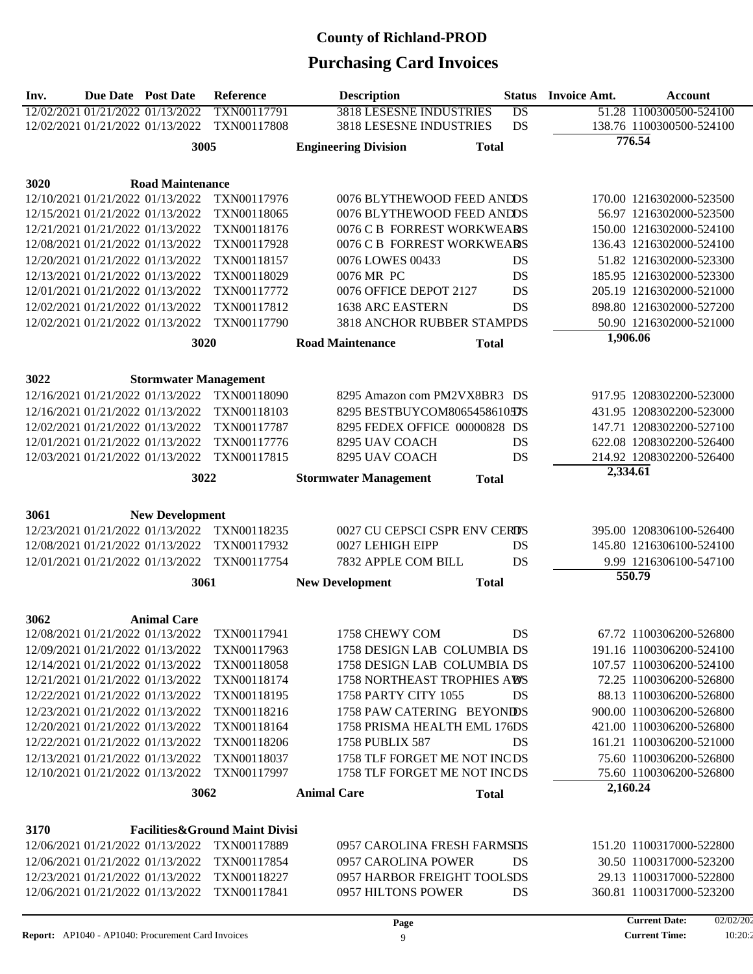| Inv. | <b>Due Date</b> Post Date        |                                                        | Reference                                 |                    | <b>Description</b>                           | <b>Status</b>   | <b>Invoice Amt.</b> | <b>Account</b>           |
|------|----------------------------------|--------------------------------------------------------|-------------------------------------------|--------------------|----------------------------------------------|-----------------|---------------------|--------------------------|
|      | 12/02/2021 01/21/2022 01/13/2022 |                                                        | TXN00117791                               |                    | <b>3818 LESESNE INDUSTRIES</b>               | $\overline{DS}$ |                     | 51.28 1100300500-524100  |
|      |                                  | 12/02/2021 01/21/2022 01/13/2022                       | TXN00117808                               |                    | 3818 LESESNE INDUSTRIES                      | <b>DS</b>       |                     | 138.76 1100300500-524100 |
|      |                                  | 3005                                                   |                                           |                    | <b>Engineering Division</b><br><b>Total</b>  |                 |                     | 776.54                   |
|      |                                  |                                                        |                                           |                    |                                              |                 |                     |                          |
| 3020 |                                  | <b>Road Maintenance</b>                                |                                           |                    |                                              |                 |                     |                          |
|      | 12/10/2021 01/21/2022 01/13/2022 |                                                        | TXN00117976                               |                    | 0076 BLYTHEWOOD FEED ANDDS                   |                 |                     | 170.00 1216302000-523500 |
|      | 12/15/2021 01/21/2022 01/13/2022 |                                                        | TXN00118065                               |                    | 0076 BLYTHEWOOD FEED ANDDS                   |                 |                     | 56.97 1216302000-523500  |
|      | 12/21/2021 01/21/2022 01/13/2022 |                                                        | TXN00118176                               |                    | 0076 C B FORREST WORKWEARS                   |                 |                     | 150.00 1216302000-524100 |
|      | 12/08/2021 01/21/2022 01/13/2022 |                                                        | TXN00117928                               |                    | 0076 C B FORREST WORKWEARS                   |                 |                     | 136.43 1216302000-524100 |
|      | 12/20/2021 01/21/2022 01/13/2022 |                                                        | TXN00118157                               |                    | 0076 LOWES 00433                             | DS              |                     | 51.82 1216302000-523300  |
|      | 12/13/2021 01/21/2022 01/13/2022 |                                                        | TXN00118029                               |                    | 0076 MR PC                                   | DS              |                     | 185.95 1216302000-523300 |
|      | 12/01/2021 01/21/2022 01/13/2022 |                                                        | TXN00117772                               |                    | 0076 OFFICE DEPOT 2127                       | DS              |                     | 205.19 1216302000-521000 |
|      | 12/02/2021 01/21/2022 01/13/2022 |                                                        | TXN00117812                               |                    | <b>1638 ARC EASTERN</b>                      | DS              |                     | 898.80 1216302000-527200 |
|      |                                  | 12/02/2021 01/21/2022 01/13/2022                       | TXN00117790                               |                    | 3818 ANCHOR RUBBER STAMPDS                   |                 |                     | 50.90 1216302000-521000  |
|      |                                  | 3020                                                   |                                           |                    | <b>Road Maintenance</b><br><b>Total</b>      |                 | 1,906.06            |                          |
|      |                                  |                                                        |                                           |                    |                                              |                 |                     |                          |
| 3022 |                                  | <b>Stormwater Management</b>                           |                                           |                    |                                              |                 |                     |                          |
|      |                                  | 12/16/2021 01/21/2022 01/13/2022                       | TXN00118090                               |                    | 8295 Amazon com PM2VX8BR3 DS                 |                 |                     | 917.95 1208302200-523000 |
|      |                                  | 12/16/2021 01/21/2022 01/13/2022                       | TXN00118103                               |                    | 8295 BESTBUYCOM806545861050S                 |                 |                     | 431.95 1208302200-523000 |
|      | 12/02/2021 01/21/2022 01/13/2022 |                                                        | TXN00117787                               |                    | 8295 FEDEX OFFICE 00000828 DS                |                 |                     | 147.71 1208302200-527100 |
|      | 12/01/2021 01/21/2022 01/13/2022 |                                                        | TXN00117776                               |                    | 8295 UAV COACH                               | DS              |                     | 622.08 1208302200-526400 |
|      | 12/03/2021 01/21/2022 01/13/2022 |                                                        | TXN00117815                               |                    | 8295 UAV COACH                               | <b>DS</b>       |                     | 214.92 1208302200-526400 |
|      |                                  | 3022                                                   |                                           |                    | <b>Stormwater Management</b><br><b>Total</b> |                 | 2,334.61            |                          |
|      |                                  |                                                        |                                           |                    |                                              |                 |                     |                          |
| 3061 |                                  | <b>New Development</b>                                 |                                           |                    |                                              |                 |                     |                          |
|      |                                  | 12/23/2021 01/21/2022 01/13/2022                       | TXN00118235                               |                    | 0027 CU CEPSCI CSPR ENV CERDS                |                 |                     | 395.00 1208306100-526400 |
|      | 12/08/2021 01/21/2022 01/13/2022 |                                                        | TXN00117932                               |                    | 0027 LEHIGH EIPP                             | DS              |                     | 145.80 1216306100-524100 |
|      |                                  | 12/01/2021 01/21/2022 01/13/2022                       | TXN00117754                               |                    | 7832 APPLE COM BILL                          | <b>DS</b>       |                     | 9.99 1216306100-547100   |
|      |                                  | 3061                                                   |                                           |                    | <b>Total</b>                                 |                 |                     | 550.79                   |
|      |                                  |                                                        |                                           |                    | <b>New Development</b>                       |                 |                     |                          |
|      |                                  |                                                        |                                           |                    |                                              |                 |                     |                          |
| 3062 |                                  | <b>Animal Care</b><br>12/08/2021 01/21/2022 01/13/2022 | TXN00117941                               |                    | 1758 CHEWY COM                               | DS              |                     | 67.72 1100306200-526800  |
|      | 12/09/2021 01/21/2022 01/13/2022 |                                                        | TXN00117963                               |                    | 1758 DESIGN LAB COLUMBIA DS                  |                 |                     | 191.16 1100306200-524100 |
|      | 12/14/2021 01/21/2022 01/13/2022 |                                                        | TXN00118058                               |                    | 1758 DESIGN LAB COLUMBIA DS                  |                 |                     | 107.57 1100306200-524100 |
|      |                                  | 12/21/2021 01/21/2022 01/13/2022                       | TXN00118174                               |                    | 1758 NORTHEAST TROPHIES AWS                  |                 |                     | 72.25 1100306200-526800  |
|      | 12/22/2021 01/21/2022 01/13/2022 |                                                        | TXN00118195                               |                    | 1758 PARTY CITY 1055                         | DS              |                     | 88.13 1100306200-526800  |
|      | 12/23/2021 01/21/2022 01/13/2022 |                                                        | TXN00118216                               |                    | 1758 PAW CATERING BEYONIDS                   |                 |                     | 900.00 1100306200-526800 |
|      | 12/20/2021 01/21/2022 01/13/2022 |                                                        | TXN00118164                               |                    | 1758 PRISMA HEALTH EML 176DS                 |                 |                     | 421.00 1100306200-526800 |
|      |                                  | 12/22/2021 01/21/2022 01/13/2022                       | TXN00118206                               |                    | 1758 PUBLIX 587                              | DS              |                     | 161.21 1100306200-521000 |
|      |                                  | 12/13/2021 01/21/2022 01/13/2022                       | TXN00118037                               |                    | 1758 TLF FORGET ME NOT INCDS                 |                 |                     | 75.60 1100306200-526800  |
|      | 12/10/2021 01/21/2022 01/13/2022 |                                                        | TXN00117997                               |                    | 1758 TLF FORGET ME NOT INCDS                 |                 |                     | 75.60 1100306200-526800  |
|      |                                  | 3062                                                   |                                           | <b>Animal Care</b> | <b>Total</b>                                 |                 | 2,160.24            |                          |
|      |                                  |                                                        |                                           |                    |                                              |                 |                     |                          |
| 3170 |                                  |                                                        | <b>Facilities&amp;Ground Maint Divisi</b> |                    |                                              |                 |                     |                          |
|      |                                  | 12/06/2021 01/21/2022 01/13/2022                       | TXN00117889                               |                    | 0957 CAROLINA FRESH FARMSDS                  |                 |                     | 151.20 1100317000-522800 |
|      |                                  | 12/06/2021 01/21/2022 01/13/2022                       | TXN00117854                               |                    | 0957 CAROLINA POWER                          | DS              |                     | 30.50 1100317000-523200  |
|      |                                  | 12/23/2021 01/21/2022 01/13/2022                       | TXN00118227                               |                    | 0957 HARBOR FREIGHT TOOLSDS                  |                 |                     | 29.13 1100317000-522800  |
|      |                                  | 12/06/2021 01/21/2022 01/13/2022                       | TXN00117841                               |                    | 0957 HILTONS POWER                           | DS              |                     | 360.81 1100317000-523200 |
|      |                                  |                                                        |                                           |                    |                                              |                 |                     |                          |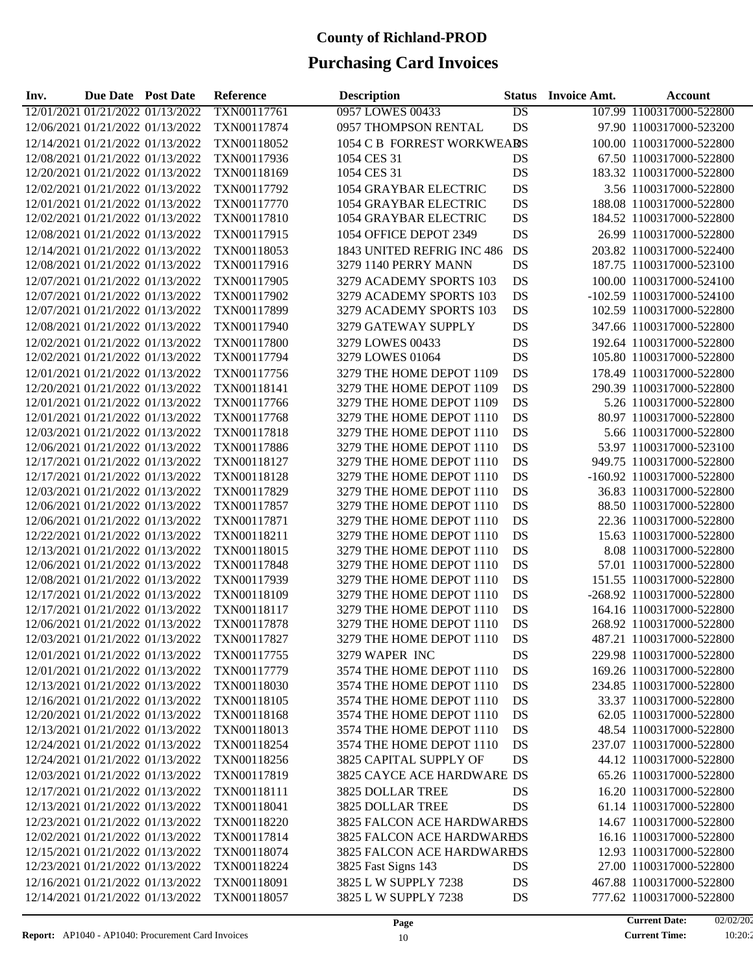| Inv. | Due Date Post Date |                                                                      | Reference   | <b>Description</b>         | <b>Status</b> | <b>Invoice Amt.</b> | <b>Account</b>            |
|------|--------------------|----------------------------------------------------------------------|-------------|----------------------------|---------------|---------------------|---------------------------|
|      |                    | 12/01/2021 01/21/2022 01/13/2022                                     | TXN00117761 | 0957 LOWES 00433           | DS            |                     | 107.99 1100317000-522800  |
|      |                    | 12/06/2021 01/21/2022 01/13/2022                                     | TXN00117874 | 0957 THOMPSON RENTAL       | DS            |                     | 97.90 1100317000-523200   |
|      |                    | 12/14/2021 01/21/2022 01/13/2022                                     | TXN00118052 | 1054 C B FORREST WORKWEARS |               |                     | 100.00 1100317000-522800  |
|      |                    | 12/08/2021 01/21/2022 01/13/2022                                     | TXN00117936 | 1054 CES 31                | DS            |                     | 67.50 1100317000-522800   |
|      |                    | 12/20/2021 01/21/2022 01/13/2022                                     | TXN00118169 | 1054 CES 31                | DS            |                     | 183.32 1100317000-522800  |
|      |                    | 12/02/2021 01/21/2022 01/13/2022                                     | TXN00117792 | 1054 GRAYBAR ELECTRIC      | DS            |                     | 3.56 1100317000-522800    |
|      |                    | 12/01/2021 01/21/2022 01/13/2022                                     | TXN00117770 | 1054 GRAYBAR ELECTRIC      | DS            |                     | 188.08 1100317000-522800  |
|      |                    | 12/02/2021 01/21/2022 01/13/2022                                     | TXN00117810 | 1054 GRAYBAR ELECTRIC      | DS            |                     | 184.52 1100317000-522800  |
|      |                    | 12/08/2021 01/21/2022 01/13/2022                                     | TXN00117915 | 1054 OFFICE DEPOT 2349     | DS            |                     | 26.99 1100317000-522800   |
|      |                    | 12/14/2021 01/21/2022 01/13/2022                                     | TXN00118053 | 1843 UNITED REFRIG INC 486 | DS            |                     | 203.82 1100317000-522400  |
|      |                    | 12/08/2021 01/21/2022 01/13/2022                                     | TXN00117916 | 3279 1140 PERRY MANN       | DS            |                     | 187.75 1100317000-523100  |
|      |                    | 12/07/2021 01/21/2022 01/13/2022                                     | TXN00117905 | 3279 ACADEMY SPORTS 103    | DS            |                     | 100.00 1100317000-524100  |
|      |                    | 12/07/2021 01/21/2022 01/13/2022                                     | TXN00117902 | 3279 ACADEMY SPORTS 103    | DS            |                     | -102.59 1100317000-524100 |
|      |                    | 12/07/2021 01/21/2022 01/13/2022                                     | TXN00117899 | 3279 ACADEMY SPORTS 103    | DS            |                     | 102.59 1100317000-522800  |
|      |                    |                                                                      |             |                            | DS            |                     |                           |
|      |                    | 12/08/2021 01/21/2022 01/13/2022                                     | TXN00117940 | 3279 GATEWAY SUPPLY        |               |                     | 347.66 1100317000-522800  |
|      |                    | 12/02/2021 01/21/2022 01/13/2022                                     | TXN00117800 | 3279 LOWES 00433           | DS            |                     | 192.64 1100317000-522800  |
|      |                    | 12/02/2021 01/21/2022 01/13/2022                                     | TXN00117794 | 3279 LOWES 01064           | DS            |                     | 105.80 1100317000-522800  |
|      |                    | 12/01/2021 01/21/2022 01/13/2022                                     | TXN00117756 | 3279 THE HOME DEPOT 1109   | DS            |                     | 178.49 1100317000-522800  |
|      |                    | 12/20/2021 01/21/2022 01/13/2022                                     | TXN00118141 | 3279 THE HOME DEPOT 1109   | DS            |                     | 290.39 1100317000-522800  |
|      |                    | 12/01/2021 01/21/2022 01/13/2022                                     | TXN00117766 | 3279 THE HOME DEPOT 1109   | DS            |                     | 5.26 1100317000-522800    |
|      |                    | 12/01/2021 01/21/2022 01/13/2022                                     | TXN00117768 | 3279 THE HOME DEPOT 1110   | DS            |                     | 80.97 1100317000-522800   |
|      |                    | 12/03/2021 01/21/2022 01/13/2022                                     | TXN00117818 | 3279 THE HOME DEPOT 1110   | DS            |                     | 5.66 1100317000-522800    |
|      |                    | 12/06/2021 01/21/2022 01/13/2022                                     | TXN00117886 | 3279 THE HOME DEPOT 1110   | DS            |                     | 53.97 1100317000-523100   |
|      |                    | 12/17/2021 01/21/2022 01/13/2022                                     | TXN00118127 | 3279 THE HOME DEPOT 1110   | DS            |                     | 949.75 1100317000-522800  |
|      |                    | 12/17/2021 01/21/2022 01/13/2022                                     | TXN00118128 | 3279 THE HOME DEPOT 1110   | DS            |                     | -160.92 1100317000-522800 |
|      |                    | 12/03/2021 01/21/2022 01/13/2022                                     | TXN00117829 | 3279 THE HOME DEPOT 1110   | DS            |                     | 36.83 1100317000-522800   |
|      |                    | 12/06/2021 01/21/2022 01/13/2022                                     | TXN00117857 | 3279 THE HOME DEPOT 1110   | DS            |                     | 88.50 1100317000-522800   |
|      |                    | 12/06/2021 01/21/2022 01/13/2022                                     | TXN00117871 | 3279 THE HOME DEPOT 1110   | DS            |                     | 22.36 1100317000-522800   |
|      |                    | 12/22/2021 01/21/2022 01/13/2022                                     | TXN00118211 | 3279 THE HOME DEPOT 1110   | DS            |                     | 15.63 1100317000-522800   |
|      |                    | 12/13/2021 01/21/2022 01/13/2022                                     | TXN00118015 | 3279 THE HOME DEPOT 1110   | DS            |                     | 8.08 1100317000-522800    |
|      |                    | 12/06/2021 01/21/2022 01/13/2022                                     | TXN00117848 | 3279 THE HOME DEPOT 1110   | DS            |                     | 57.01 1100317000-522800   |
|      |                    | 12/08/2021 01/21/2022 01/13/2022                                     | TXN00117939 | 3279 THE HOME DEPOT 1110   | DS            |                     | 151.55 1100317000-522800  |
|      |                    | 12/17/2021 01/21/2022 01/13/2022                                     | TXN00118109 | 3279 THE HOME DEPOT 1110   | DS            |                     | -268.92 1100317000-522800 |
|      |                    | 12/17/2021 01/21/2022 01/13/2022<br>12/06/2021 01/21/2022 01/13/2022 | TXN00118117 | 3279 THE HOME DEPOT 1110   | DS            |                     | 164.16 1100317000-522800  |
|      |                    |                                                                      | TXN00117878 | 3279 THE HOME DEPOT 1110   | DS            |                     | 268.92 1100317000-522800  |
|      |                    | 12/03/2021 01/21/2022 01/13/2022                                     | TXN00117827 | 3279 THE HOME DEPOT 1110   | DS            |                     | 487.21 1100317000-522800  |
|      |                    | 12/01/2021 01/21/2022 01/13/2022                                     | TXN00117755 | 3279 WAPER INC             | DS            |                     | 229.98 1100317000-522800  |
|      |                    | 12/01/2021 01/21/2022 01/13/2022                                     | TXN00117779 | 3574 THE HOME DEPOT 1110   | DS            |                     | 169.26 1100317000-522800  |
|      |                    | 12/13/2021 01/21/2022 01/13/2022                                     | TXN00118030 | 3574 THE HOME DEPOT 1110   | DS            |                     | 234.85 1100317000-522800  |
|      |                    | 12/16/2021 01/21/2022 01/13/2022                                     | TXN00118105 | 3574 THE HOME DEPOT 1110   | DS            |                     | 33.37 1100317000-522800   |
|      |                    | 12/20/2021 01/21/2022 01/13/2022                                     | TXN00118168 | 3574 THE HOME DEPOT 1110   | DS            |                     | 62.05 1100317000-522800   |
|      |                    | 12/13/2021 01/21/2022 01/13/2022                                     | TXN00118013 | 3574 THE HOME DEPOT 1110   | DS            |                     | 48.54 1100317000-522800   |
|      |                    | 12/24/2021 01/21/2022 01/13/2022                                     | TXN00118254 | 3574 THE HOME DEPOT 1110   | DS            |                     | 237.07 1100317000-522800  |
|      |                    | 12/24/2021 01/21/2022 01/13/2022                                     | TXN00118256 | 3825 CAPITAL SUPPLY OF     | DS            |                     | 44.12 1100317000-522800   |
|      |                    | 12/03/2021 01/21/2022 01/13/2022                                     | TXN00117819 | 3825 CAYCE ACE HARDWARE DS |               |                     | 65.26 1100317000-522800   |
|      |                    | 12/17/2021 01/21/2022 01/13/2022                                     | TXN00118111 | 3825 DOLLAR TREE           | DS            |                     | 16.20 1100317000-522800   |
|      |                    | 12/13/2021 01/21/2022 01/13/2022                                     | TXN00118041 | 3825 DOLLAR TREE           | DS            |                     | 61.14 1100317000-522800   |
|      |                    | 12/23/2021 01/21/2022 01/13/2022                                     | TXN00118220 | 3825 FALCON ACE HARDWAREDS |               |                     | 14.67 1100317000-522800   |
|      |                    | 12/02/2021 01/21/2022 01/13/2022                                     | TXN00117814 | 3825 FALCON ACE HARDWAREDS |               |                     | 16.16 1100317000-522800   |
|      |                    | 12/15/2021 01/21/2022 01/13/2022                                     | TXN00118074 | 3825 FALCON ACE HARDWAREDS |               |                     | 12.93 1100317000-522800   |
|      |                    | 12/23/2021 01/21/2022 01/13/2022                                     | TXN00118224 | 3825 Fast Signs 143        | DS            |                     | 27.00 1100317000-522800   |
|      |                    | 12/16/2021 01/21/2022 01/13/2022                                     | TXN00118091 | 3825 L W SUPPLY 7238       | DS            |                     | 467.88 1100317000-522800  |
|      |                    | 12/14/2021 01/21/2022 01/13/2022                                     | TXN00118057 | 3825 L W SUPPLY 7238       | DS            |                     | 777.62 1100317000-522800  |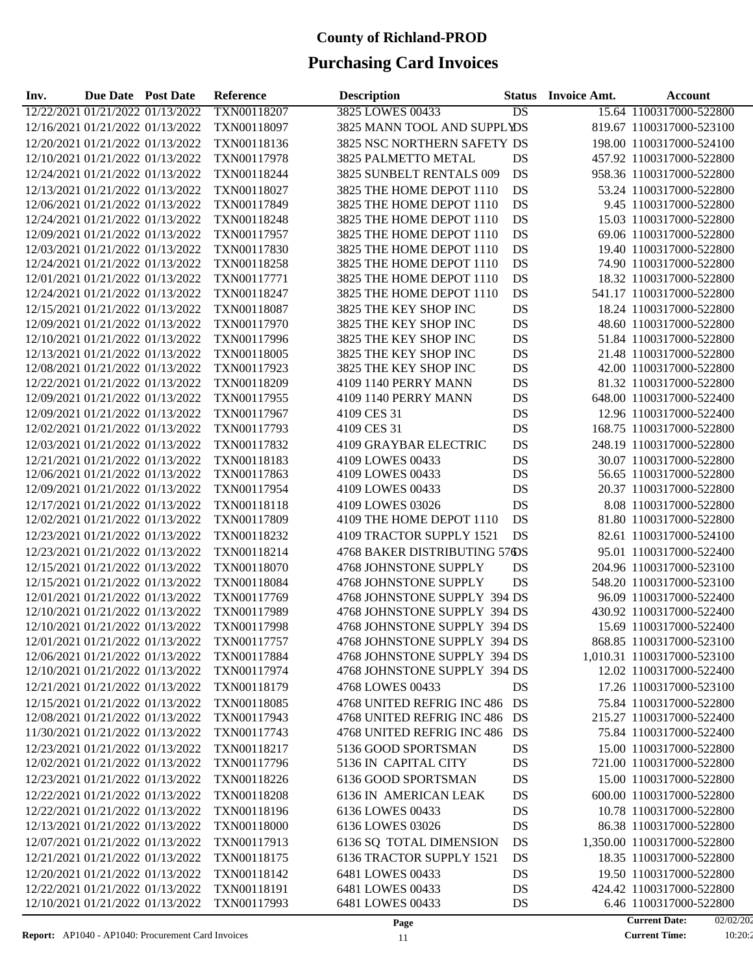| Inv.                             | Due Date Post Date | Reference   | <b>Description</b>           | <b>Status</b> | <b>Invoice Amt.</b> | Account                    |
|----------------------------------|--------------------|-------------|------------------------------|---------------|---------------------|----------------------------|
| 12/22/2021 01/21/2022 01/13/2022 |                    | TXN00118207 | 3825 LOWES 00433             | DS            |                     | 15.64 1100317000-522800    |
| 12/16/2021 01/21/2022 01/13/2022 |                    | TXN00118097 | 3825 MANN TOOL AND SUPPLYDS  |               |                     | 819.67 1100317000-523100   |
| 12/20/2021 01/21/2022 01/13/2022 |                    | TXN00118136 | 3825 NSC NORTHERN SAFETY DS  |               |                     | 198.00 1100317000-524100   |
| 12/10/2021 01/21/2022 01/13/2022 |                    | TXN00117978 | 3825 PALMETTO METAL          | DS            |                     | 457.92 1100317000-522800   |
| 12/24/2021 01/21/2022 01/13/2022 |                    | TXN00118244 | 3825 SUNBELT RENTALS 009     | DS            |                     | 958.36 1100317000-522800   |
| 12/13/2021 01/21/2022 01/13/2022 |                    | TXN00118027 | 3825 THE HOME DEPOT 1110     | DS            |                     | 53.24 1100317000-522800    |
| 12/06/2021 01/21/2022 01/13/2022 |                    | TXN00117849 | 3825 THE HOME DEPOT 1110     | DS            |                     | 9.45 1100317000-522800     |
| 12/24/2021 01/21/2022 01/13/2022 |                    | TXN00118248 | 3825 THE HOME DEPOT 1110     | DS            |                     | 15.03 1100317000-522800    |
| 12/09/2021 01/21/2022 01/13/2022 |                    | TXN00117957 | 3825 THE HOME DEPOT 1110     | DS            |                     | 69.06 1100317000-522800    |
| 12/03/2021 01/21/2022 01/13/2022 |                    | TXN00117830 | 3825 THE HOME DEPOT 1110     | DS            |                     | 19.40 1100317000-522800    |
| 12/24/2021 01/21/2022 01/13/2022 |                    | TXN00118258 | 3825 THE HOME DEPOT 1110     | DS            |                     | 74.90 1100317000-522800    |
| 12/01/2021 01/21/2022 01/13/2022 |                    | TXN00117771 | 3825 THE HOME DEPOT 1110     | DS            |                     | 18.32 1100317000-522800    |
| 12/24/2021 01/21/2022 01/13/2022 |                    | TXN00118247 | 3825 THE HOME DEPOT 1110     | DS            |                     | 541.17 1100317000-522800   |
| 12/15/2021 01/21/2022 01/13/2022 |                    | TXN00118087 | 3825 THE KEY SHOP INC        | DS            |                     | 18.24 1100317000-522800    |
| 12/09/2021 01/21/2022 01/13/2022 |                    | TXN00117970 | 3825 THE KEY SHOP INC        | DS            |                     | 48.60 1100317000-522800    |
| 12/10/2021 01/21/2022 01/13/2022 |                    | TXN00117996 | 3825 THE KEY SHOP INC        | DS            |                     | 51.84 1100317000-522800    |
| 12/13/2021 01/21/2022 01/13/2022 |                    | TXN00118005 | 3825 THE KEY SHOP INC        | DS            |                     | 21.48 1100317000-522800    |
| 12/08/2021 01/21/2022 01/13/2022 |                    | TXN00117923 | 3825 THE KEY SHOP INC        | DS            |                     | 42.00 1100317000-522800    |
| 12/22/2021 01/21/2022 01/13/2022 |                    | TXN00118209 | 4109 1140 PERRY MANN         | DS            |                     | 81.32 1100317000-522800    |
| 12/09/2021 01/21/2022 01/13/2022 |                    | TXN00117955 | 4109 1140 PERRY MANN         | DS            |                     | 648.00 1100317000-522400   |
| 12/09/2021 01/21/2022 01/13/2022 |                    | TXN00117967 | 4109 CES 31                  | DS            |                     | 12.96 1100317000-522400    |
| 12/02/2021 01/21/2022 01/13/2022 |                    | TXN00117793 | 4109 CES 31                  | DS            |                     | 168.75 1100317000-522800   |
| 12/03/2021 01/21/2022 01/13/2022 |                    | TXN00117832 | 4109 GRAYBAR ELECTRIC        | DS            |                     | 248.19 1100317000-522800   |
| 12/21/2021 01/21/2022 01/13/2022 |                    | TXN00118183 | 4109 LOWES 00433             | DS            |                     | 30.07 1100317000-522800    |
| 12/06/2021 01/21/2022 01/13/2022 |                    | TXN00117863 | 4109 LOWES 00433             | DS            |                     | 56.65 1100317000-522800    |
| 12/09/2021 01/21/2022 01/13/2022 |                    | TXN00117954 | 4109 LOWES 00433             | DS            |                     | 20.37 1100317000-522800    |
| 12/17/2021 01/21/2022 01/13/2022 |                    | TXN00118118 | 4109 LOWES 03026             | DS            |                     | 8.08 1100317000-522800     |
| 12/02/2021 01/21/2022 01/13/2022 |                    | TXN00117809 | 4109 THE HOME DEPOT 1110     | DS            |                     | 81.80 1100317000-522800    |
| 12/23/2021 01/21/2022 01/13/2022 |                    | TXN00118232 | 4109 TRACTOR SUPPLY 1521     | DS            |                     | 82.61 1100317000-524100    |
| 12/23/2021 01/21/2022 01/13/2022 |                    | TXN00118214 | 4768 BAKER DISTRIBUTING 57DS |               |                     | 95.01 1100317000-522400    |
| 12/15/2021 01/21/2022 01/13/2022 |                    | TXN00118070 | 4768 JOHNSTONE SUPPLY        | DS            |                     | 204.96 1100317000-523100   |
| 12/15/2021 01/21/2022 01/13/2022 |                    | TXN00118084 | 4768 JOHNSTONE SUPPLY        | DS            |                     | 548.20 1100317000-523100   |
| 12/01/2021 01/21/2022 01/13/2022 |                    | TXN00117769 | 4768 JOHNSTONE SUPPLY 394 DS |               |                     | 96.09 1100317000-522400    |
| 12/10/2021 01/21/2022 01/13/2022 |                    | TXN00117989 | 4768 JOHNSTONE SUPPLY 394 DS |               |                     | 430.92 1100317000-522400   |
| 12/10/2021 01/21/2022 01/13/2022 |                    | TXN00117998 | 4768 JOHNSTONE SUPPLY 394 DS |               |                     | 15.69 1100317000-522400    |
| 12/01/2021 01/21/2022 01/13/2022 |                    | TXN00117757 | 4768 JOHNSTONE SUPPLY 394 DS |               |                     | 868.85 1100317000-523100   |
| 12/06/2021 01/21/2022 01/13/2022 |                    | TXN00117884 | 4768 JOHNSTONE SUPPLY 394 DS |               |                     | 1,010.31 1100317000-523100 |
| 12/10/2021 01/21/2022 01/13/2022 |                    | TXN00117974 | 4768 JOHNSTONE SUPPLY 394 DS |               |                     | 12.02 1100317000-522400    |
| 12/21/2021 01/21/2022 01/13/2022 |                    | TXN00118179 | 4768 LOWES 00433             | DS            |                     | 17.26 1100317000-523100    |
| 12/15/2021 01/21/2022 01/13/2022 |                    | TXN00118085 | 4768 UNITED REFRIG INC 486   | DS            |                     | 75.84 1100317000-522800    |
| 12/08/2021 01/21/2022 01/13/2022 |                    | TXN00117943 | 4768 UNITED REFRIG INC 486   | DS            |                     | 215.27 1100317000-522400   |
| 11/30/2021 01/21/2022 01/13/2022 |                    | TXN00117743 | 4768 UNITED REFRIG INC 486   | DS            |                     | 75.84 1100317000-522400    |
| 12/23/2021 01/21/2022 01/13/2022 |                    | TXN00118217 | 5136 GOOD SPORTSMAN          | DS            |                     | 15.00 1100317000-522800    |
| 12/02/2021 01/21/2022 01/13/2022 |                    | TXN00117796 | 5136 IN CAPITAL CITY         | DS            |                     | 721.00 1100317000-522800   |
| 12/23/2021 01/21/2022 01/13/2022 |                    | TXN00118226 | 6136 GOOD SPORTSMAN          | DS            |                     | 15.00 1100317000-522800    |
| 12/22/2021 01/21/2022 01/13/2022 |                    | TXN00118208 | 6136 IN AMERICAN LEAK        | DS            |                     | 600.00 1100317000-522800   |
| 12/22/2021 01/21/2022 01/13/2022 |                    | TXN00118196 | 6136 LOWES 00433             | DS            |                     | 10.78 1100317000-522800    |
| 12/13/2021 01/21/2022 01/13/2022 |                    | TXN00118000 | 6136 LOWES 03026             | DS            |                     | 86.38 1100317000-522800    |
| 12/07/2021 01/21/2022 01/13/2022 |                    | TXN00117913 | 6136 SQ TOTAL DIMENSION      | DS            |                     | 1,350.00 1100317000-522800 |
| 12/21/2021 01/21/2022 01/13/2022 |                    | TXN00118175 | 6136 TRACTOR SUPPLY 1521     | DS            |                     | 18.35 1100317000-522800    |
| 12/20/2021 01/21/2022 01/13/2022 |                    | TXN00118142 | 6481 LOWES 00433             |               |                     | 19.50 1100317000-522800    |
| 12/22/2021 01/21/2022 01/13/2022 |                    | TXN00118191 | 6481 LOWES 00433             | DS<br>DS      |                     | 424.42 1100317000-522800   |
| 12/10/2021 01/21/2022 01/13/2022 |                    | TXN00117993 | 6481 LOWES 00433             | DS            |                     | 6.46 1100317000-522800     |
|                                  |                    |             |                              |               |                     |                            |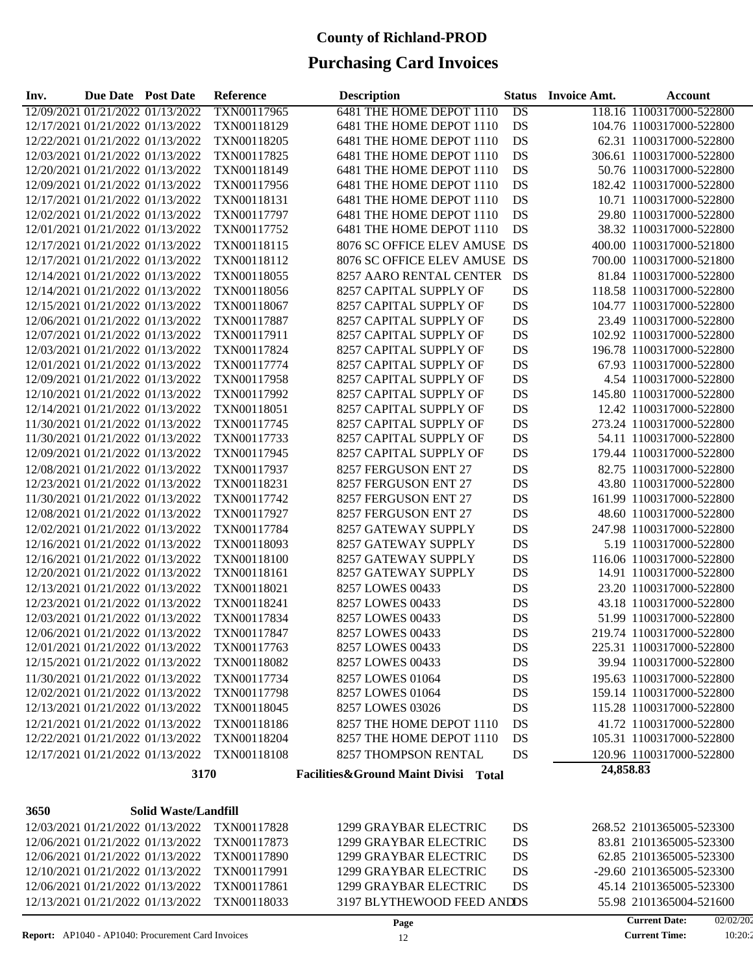| Inv. | Due Date Post Date               |                                  | <b>Reference</b> | <b>Description</b>                        |                 | <b>Status</b> Invoice Amt. | Account                          |
|------|----------------------------------|----------------------------------|------------------|-------------------------------------------|-----------------|----------------------------|----------------------------------|
|      | 12/09/2021 01/21/2022 01/13/2022 |                                  | TXN00117965      | 6481 THE HOME DEPOT 1110                  | $\overline{DS}$ |                            | 118.16 1100317000-522800         |
|      |                                  | 12/17/2021 01/21/2022 01/13/2022 | TXN00118129      | 6481 THE HOME DEPOT 1110                  | DS              |                            | 104.76 1100317000-522800         |
|      |                                  | 12/22/2021 01/21/2022 01/13/2022 | TXN00118205      | 6481 THE HOME DEPOT 1110                  | DS              |                            | 62.31 1100317000-522800          |
|      |                                  | 12/03/2021 01/21/2022 01/13/2022 | TXN00117825      | 6481 THE HOME DEPOT 1110                  | DS              |                            | 306.61 1100317000-522800         |
|      |                                  | 12/20/2021 01/21/2022 01/13/2022 | TXN00118149      | 6481 THE HOME DEPOT 1110                  | DS              |                            | 50.76 1100317000-522800          |
|      |                                  | 12/09/2021 01/21/2022 01/13/2022 | TXN00117956      | 6481 THE HOME DEPOT 1110                  | DS              |                            | 182.42 1100317000-522800         |
|      |                                  | 12/17/2021 01/21/2022 01/13/2022 | TXN00118131      | 6481 THE HOME DEPOT 1110                  | DS              |                            | 10.71 1100317000-522800          |
|      |                                  | 12/02/2021 01/21/2022 01/13/2022 | TXN00117797      | 6481 THE HOME DEPOT 1110                  | DS              |                            | 29.80 1100317000-522800          |
|      |                                  | 12/01/2021 01/21/2022 01/13/2022 | TXN00117752      | 6481 THE HOME DEPOT 1110                  | DS              |                            | 38.32 1100317000-522800          |
|      |                                  | 12/17/2021 01/21/2022 01/13/2022 | TXN00118115      | 8076 SC OFFICE ELEV AMUSE DS              |                 |                            | 400.00 1100317000-521800         |
|      |                                  | 12/17/2021 01/21/2022 01/13/2022 | TXN00118112      | 8076 SC OFFICE ELEV AMUSE DS              |                 |                            | 700.00 1100317000-521800         |
|      |                                  | 12/14/2021 01/21/2022 01/13/2022 | TXN00118055      | 8257 AARO RENTAL CENTER                   | DS              |                            | 81.84 1100317000-522800          |
|      |                                  | 12/14/2021 01/21/2022 01/13/2022 | TXN00118056      | 8257 CAPITAL SUPPLY OF                    | DS              |                            | 118.58 1100317000-522800         |
|      |                                  | 12/15/2021 01/21/2022 01/13/2022 | TXN00118067      | 8257 CAPITAL SUPPLY OF                    | DS              |                            | 104.77 1100317000-522800         |
|      |                                  | 12/06/2021 01/21/2022 01/13/2022 | TXN00117887      | 8257 CAPITAL SUPPLY OF                    | DS              |                            | 23.49 1100317000-522800          |
|      |                                  | 12/07/2021 01/21/2022 01/13/2022 | TXN00117911      | 8257 CAPITAL SUPPLY OF                    | DS              |                            | 102.92 1100317000-522800         |
|      |                                  | 12/03/2021 01/21/2022 01/13/2022 | TXN00117824      | 8257 CAPITAL SUPPLY OF                    | DS              |                            | 196.78 1100317000-522800         |
|      |                                  | 12/01/2021 01/21/2022 01/13/2022 | TXN00117774      | 8257 CAPITAL SUPPLY OF                    | DS              |                            | 67.93 1100317000-522800          |
|      |                                  | 12/09/2021 01/21/2022 01/13/2022 | TXN00117958      | 8257 CAPITAL SUPPLY OF                    | DS              |                            | 4.54 1100317000-522800           |
|      |                                  | 12/10/2021 01/21/2022 01/13/2022 | TXN00117992      | 8257 CAPITAL SUPPLY OF                    | DS              |                            | 145.80 1100317000-522800         |
|      |                                  | 12/14/2021 01/21/2022 01/13/2022 | TXN00118051      | 8257 CAPITAL SUPPLY OF                    | DS              |                            | 12.42 1100317000-522800          |
|      |                                  | 11/30/2021 01/21/2022 01/13/2022 | TXN00117745      | 8257 CAPITAL SUPPLY OF                    | DS              |                            | 273.24 1100317000-522800         |
|      |                                  | 11/30/2021 01/21/2022 01/13/2022 | TXN00117733      | 8257 CAPITAL SUPPLY OF                    | DS              |                            | 54.11 1100317000-522800          |
|      |                                  | 12/09/2021 01/21/2022 01/13/2022 | TXN00117945      | 8257 CAPITAL SUPPLY OF                    | DS              |                            | 179.44 1100317000-522800         |
|      |                                  |                                  |                  |                                           |                 |                            |                                  |
|      | 12/08/2021 01/21/2022 01/13/2022 |                                  | TXN00117937      | 8257 FERGUSON ENT 27                      | DS              |                            | 82.75 1100317000-522800          |
|      | 12/23/2021 01/21/2022 01/13/2022 |                                  | TXN00118231      | 8257 FERGUSON ENT 27                      | DS              |                            | 43.80 1100317000-522800          |
|      | 11/30/2021 01/21/2022 01/13/2022 |                                  | TXN00117742      | 8257 FERGUSON ENT 27                      | DS              |                            | 161.99 1100317000-522800         |
|      | 12/08/2021 01/21/2022 01/13/2022 |                                  | TXN00117927      | 8257 FERGUSON ENT 27                      | DS              |                            | 48.60 1100317000-522800          |
|      | 12/02/2021 01/21/2022 01/13/2022 |                                  | TXN00117784      | 8257 GATEWAY SUPPLY                       | DS              |                            | 247.98 1100317000-522800         |
|      | 12/16/2021 01/21/2022 01/13/2022 |                                  | TXN00118093      | 8257 GATEWAY SUPPLY                       | DS              |                            | 5.19 1100317000-522800           |
|      | 12/16/2021 01/21/2022 01/13/2022 |                                  | TXN00118100      | 8257 GATEWAY SUPPLY                       | DS              |                            | 116.06 1100317000-522800         |
|      | 12/20/2021 01/21/2022 01/13/2022 |                                  | TXN00118161      | 8257 GATEWAY SUPPLY                       | DS              |                            | 14.91 1100317000-522800          |
|      | 12/13/2021 01/21/2022 01/13/2022 |                                  | TXN00118021      | 8257 LOWES 00433                          | DS              |                            | 23.20 1100317000-522800          |
|      | 12/23/2021 01/21/2022 01/13/2022 |                                  | TXN00118241      | 8257 LOWES 00433                          | DS              |                            | 43.18 1100317000-522800          |
|      | 12/03/2021 01/21/2022 01/13/2022 |                                  | TXN00117834      | 8257 LOWES 00433                          | DS              |                            | 51.99 1100317000-522800          |
|      | 12/06/2021 01/21/2022 01/13/2022 |                                  | TXN00117847      | 8257 LOWES 00433                          | DS              |                            | 219.74 1100317000-522800         |
|      | 12/01/2021 01/21/2022 01/13/2022 |                                  | TXN00117763      | 8257 LOWES 00433                          | DS              |                            | 225.31 1100317000-522800         |
|      | 12/15/2021 01/21/2022 01/13/2022 |                                  | TXN00118082      | 8257 LOWES 00433                          | DS              |                            | 39.94 1100317000-522800          |
|      |                                  | 11/30/2021 01/21/2022 01/13/2022 | TXN00117734      | 8257 LOWES 01064                          | DS              |                            | 195.63 1100317000-522800         |
|      |                                  | 12/02/2021 01/21/2022 01/13/2022 | TXN00117798      | 8257 LOWES 01064                          | DS              |                            | 159.14 1100317000-522800         |
|      |                                  | 12/13/2021 01/21/2022 01/13/2022 | TXN00118045      | 8257 LOWES 03026                          | DS              |                            | 115.28 1100317000-522800         |
|      |                                  | 12/21/2021 01/21/2022 01/13/2022 | TXN00118186      | 8257 THE HOME DEPOT 1110                  | DS              |                            | 41.72 1100317000-522800          |
|      |                                  | 12/22/2021 01/21/2022 01/13/2022 | TXN00118204      | 8257 THE HOME DEPOT 1110                  | DS              |                            | 105.31 1100317000-522800         |
|      |                                  | 12/17/2021 01/21/2022 01/13/2022 | TXN00118108      | 8257 THOMPSON RENTAL                      | DS              |                            | 120.96 1100317000-522800         |
|      |                                  | 3170                             |                  | <b>Facilities&amp;Ground Maint Divisi</b> |                 | 24,858.83                  |                                  |
|      |                                  |                                  |                  | Total                                     |                 |                            |                                  |
| 3650 |                                  | <b>Solid Waste/Landfill</b>      |                  |                                           |                 |                            |                                  |
|      |                                  | 12/03/2021 01/21/2022 01/13/2022 | TXN00117828      | 1299 GRAYBAR ELECTRIC                     | DS              |                            | 268.52 2101365005-523300         |
|      |                                  | 12/06/2021 01/21/2022 01/13/2022 | TXN00117873      | 1299 GRAYBAR ELECTRIC                     | DS              |                            | 83.81 2101365005-523300          |
|      |                                  | 12/06/2021 01/21/2022 01/13/2022 | TXN00117890      | 1299 GRAYBAR ELECTRIC                     | DS              |                            | 62.85 2101365005-523300          |
|      |                                  | 12/10/2021 01/21/2022 01/13/2022 | TXN00117991      | 1299 GRAYBAR ELECTRIC                     | DS              |                            | -29.60 2101365005-523300         |
|      |                                  | 12/06/2021 01/21/2022 01/13/2022 | TXN00117861      | 1299 GRAYBAR ELECTRIC                     | DS              |                            | 45.14 2101365005-523300          |
|      |                                  | 12/13/2021 01/21/2022 01/13/2022 | TXN00118033      | 3197 BLYTHEWOOD FEED ANDDS                |                 |                            | 55.98 2101365004-521600          |
|      |                                  |                                  |                  | Page                                      |                 |                            | <b>Current Date:</b><br>02/02/20 |
|      |                                  |                                  |                  |                                           |                 |                            |                                  |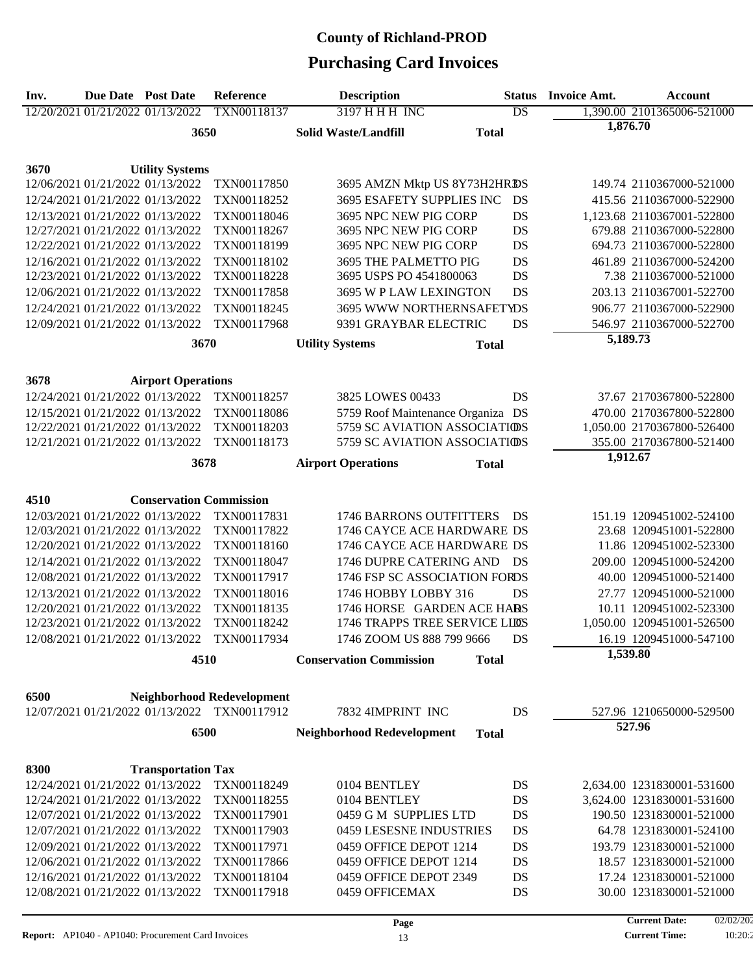| Inv. | <b>Due Date</b> Post Date        |                                                                      | Reference                                    | <b>Description</b>                                       | <b>Status</b>   | <b>Invoice Amt.</b> | <b>Account</b>                                           |
|------|----------------------------------|----------------------------------------------------------------------|----------------------------------------------|----------------------------------------------------------|-----------------|---------------------|----------------------------------------------------------|
|      |                                  | 12/20/2021 01/21/2022 01/13/2022                                     | TXN00118137                                  | <b>3197 HHH INC</b>                                      | $\overline{DS}$ |                     | 1,390.00 2101365006-521000                               |
|      |                                  | 3650                                                                 |                                              | <b>Solid Waste/Landfill</b><br><b>Total</b>              |                 | 1,876.70            |                                                          |
|      |                                  |                                                                      |                                              |                                                          |                 |                     |                                                          |
|      |                                  | <b>Utility Systems</b>                                               |                                              |                                                          |                 |                     |                                                          |
| 3670 |                                  | 12/06/2021 01/21/2022 01/13/2022                                     | TXN00117850                                  | 3695 AMZN Mktp US 8Y73H2HRDS                             |                 |                     | 149.74 2110367000-521000                                 |
|      | 12/24/2021 01/21/2022 01/13/2022 |                                                                      | TXN00118252                                  | 3695 ESAFETY SUPPLIES INC                                | DS              |                     | 415.56 2110367000-522900                                 |
|      |                                  | 12/13/2021 01/21/2022 01/13/2022                                     | TXN00118046                                  | 3695 NPC NEW PIG CORP                                    | DS              |                     | 1,123.68 2110367001-522800                               |
|      |                                  | 12/27/2021 01/21/2022 01/13/2022                                     | TXN00118267                                  | 3695 NPC NEW PIG CORP                                    | DS              |                     | 679.88 2110367000-522800                                 |
|      |                                  | 12/22/2021 01/21/2022 01/13/2022                                     | TXN00118199                                  | 3695 NPC NEW PIG CORP                                    | DS              |                     | 694.73 2110367000-522800                                 |
|      |                                  | 12/16/2021 01/21/2022 01/13/2022                                     | TXN00118102                                  | 3695 THE PALMETTO PIG                                    | DS              |                     | 461.89 2110367000-524200                                 |
|      |                                  | 12/23/2021 01/21/2022 01/13/2022                                     | TXN00118228                                  | 3695 USPS PO 4541800063                                  | DS              |                     | 7.38 2110367000-521000                                   |
|      |                                  | 12/06/2021 01/21/2022 01/13/2022                                     | TXN00117858                                  | 3695 W P LAW LEXINGTON                                   | DS              |                     | 203.13 2110367001-522700                                 |
|      |                                  | 12/24/2021 01/21/2022 01/13/2022                                     | TXN00118245                                  | 3695 WWW NORTHERNSAFETYDS                                |                 |                     | 906.77 2110367000-522900                                 |
|      |                                  | 12/09/2021 01/21/2022 01/13/2022                                     | TXN00117968                                  | 9391 GRAYBAR ELECTRIC                                    | DS              |                     | 546.97 2110367000-522700                                 |
|      |                                  |                                                                      |                                              |                                                          |                 | 5,189.73            |                                                          |
|      |                                  | 3670                                                                 |                                              | <b>Utility Systems</b><br><b>Total</b>                   |                 |                     |                                                          |
|      |                                  |                                                                      |                                              |                                                          |                 |                     |                                                          |
| 3678 |                                  | <b>Airport Operations</b>                                            |                                              |                                                          |                 |                     |                                                          |
|      |                                  | 12/24/2021 01/21/2022 01/13/2022                                     | TXN00118257                                  | 3825 LOWES 00433                                         | DS              |                     | 37.67 2170367800-522800                                  |
|      |                                  | 12/15/2021 01/21/2022 01/13/2022                                     | TXN00118086                                  | 5759 Roof Maintenance Organiza DS                        |                 |                     | 470.00 2170367800-522800                                 |
|      |                                  | 12/22/2021 01/21/2022 01/13/2022                                     | TXN00118203                                  | 5759 SC AVIATION ASSOCIATIOS                             |                 |                     | 1,050.00 2170367800-526400                               |
|      |                                  | 12/21/2021 01/21/2022 01/13/2022                                     | TXN00118173                                  | 5759 SC AVIATION ASSOCIATIONS                            |                 |                     | 355.00 2170367800-521400                                 |
|      |                                  | 3678                                                                 |                                              | <b>Airport Operations</b>                                | <b>Total</b>    | 1,912.67            |                                                          |
|      |                                  |                                                                      |                                              |                                                          |                 |                     |                                                          |
|      |                                  |                                                                      |                                              |                                                          |                 |                     |                                                          |
| 4510 |                                  | <b>Conservation Commission</b>                                       |                                              |                                                          |                 |                     |                                                          |
|      |                                  | 12/03/2021 01/21/2022 01/13/2022                                     | TXN00117831<br>TXN00117822                   | 1746 BARRONS OUTFITTERS                                  | DS.             |                     | 151.19 1209451002-524100                                 |
|      |                                  | 12/03/2021 01/21/2022 01/13/2022<br>12/20/2021 01/21/2022 01/13/2022 | TXN00118160                                  | 1746 CAYCE ACE HARDWARE DS<br>1746 CAYCE ACE HARDWARE DS |                 |                     | 23.68 1209451001-522800<br>11.86 1209451002-523300       |
|      | 12/14/2021 01/21/2022 01/13/2022 |                                                                      | TXN00118047                                  | 1746 DUPRE CATERING AND                                  | - DS            |                     | 209.00 1209451000-524200                                 |
|      |                                  | 12/08/2021 01/21/2022 01/13/2022                                     |                                              |                                                          |                 |                     |                                                          |
|      |                                  |                                                                      | TXN00117917                                  | 1746 FSP SC ASSOCIATION FORDS                            |                 |                     | 40.00 1209451000-521400                                  |
|      |                                  | 12/13/2021 01/21/2022 01/13/2022<br>12/20/2021 01/21/2022 01/13/2022 | TXN00118016                                  | 1746 HOBBY LOBBY 316<br>1746 HORSE GARDEN ACE HARS       | DS              |                     | 27.77 1209451000-521000                                  |
|      |                                  | 12/23/2021 01/21/2022 01/13/2022                                     | TXN00118135<br>TXN00118242                   | 1746 TRAPPS TREE SERVICE LIDS                            |                 |                     | 10.11 1209451002-523300                                  |
|      |                                  |                                                                      |                                              |                                                          |                 |                     | 1,050.00 1209451001-526500                               |
|      |                                  | 12/08/2021 01/21/2022 01/13/2022                                     | TXN00117934                                  | 1746 ZOOM US 888 799 9666 DS                             |                 | 1,539.80            | 16.19 1209451000-547100                                  |
|      |                                  | 4510                                                                 |                                              | <b>Conservation Commission</b><br><b>Total</b>           |                 |                     |                                                          |
|      |                                  |                                                                      |                                              |                                                          |                 |                     |                                                          |
| 6500 |                                  |                                                                      | <b>Neighborhood Redevelopment</b>            |                                                          |                 |                     |                                                          |
|      |                                  |                                                                      | 12/07/2021 01/21/2022 01/13/2022 TXN00117912 | 7832 4IMPRINT INC                                        | DS              |                     | 527.96 1210650000-529500                                 |
|      |                                  | 6500                                                                 |                                              | <b>Neighborhood Redevelopment</b><br><b>Total</b>        |                 | 527.96              |                                                          |
|      |                                  |                                                                      |                                              |                                                          |                 |                     |                                                          |
|      |                                  | <b>Transportation Tax</b>                                            |                                              |                                                          |                 |                     |                                                          |
| 8300 |                                  | 12/24/2021 01/21/2022 01/13/2022                                     | TXN00118249                                  | 0104 BENTLEY                                             |                 |                     |                                                          |
|      |                                  | 12/24/2021 01/21/2022 01/13/2022                                     | TXN00118255                                  | 0104 BENTLEY                                             | DS<br>DS        |                     | 2,634.00 1231830001-531600<br>3,624.00 1231830001-531600 |
|      |                                  | 12/07/2021 01/21/2022 01/13/2022                                     | TXN00117901                                  | 0459 G M SUPPLIES LTD                                    | DS              |                     | 190.50 1231830001-521000                                 |
|      |                                  | 12/07/2021 01/21/2022 01/13/2022                                     | TXN00117903                                  | 0459 LESESNE INDUSTRIES                                  | DS              |                     | 64.78 1231830001-524100                                  |
|      |                                  | 12/09/2021 01/21/2022 01/13/2022                                     | TXN00117971                                  | 0459 OFFICE DEPOT 1214                                   | DS              |                     | 193.79 1231830001-521000                                 |
|      |                                  | 12/06/2021 01/21/2022 01/13/2022                                     | TXN00117866                                  | 0459 OFFICE DEPOT 1214                                   | DS              |                     | 18.57 1231830001-521000                                  |
|      |                                  | 12/16/2021 01/21/2022 01/13/2022                                     | TXN00118104                                  | 0459 OFFICE DEPOT 2349                                   |                 |                     | 17.24 1231830001-521000                                  |
|      |                                  | 12/08/2021 01/21/2022 01/13/2022                                     | TXN00117918                                  | 0459 OFFICEMAX                                           | DS<br>DS        |                     | 30.00 1231830001-521000                                  |
|      |                                  |                                                                      |                                              |                                                          |                 |                     |                                                          |